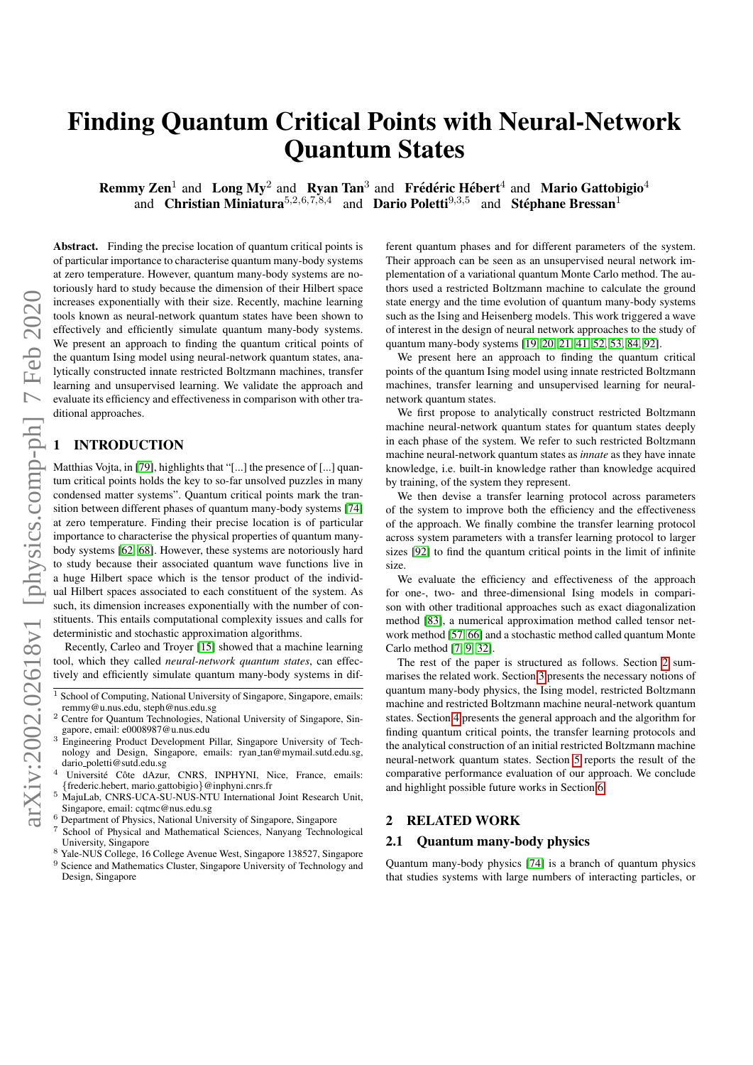# Finding Quantum Critical Points with Neural-Network Quantum States

**Remmy Zen**<sup>1</sup> and Long My<sup>2</sup> and Ryan Tan<sup>3</sup> and Frédéric Hébert<sup>4</sup> and Mario Gattobigio<sup>4</sup> and Christian Miniatura<sup>5,2,6,7,8,4</sup> and Dario Poletti<sup>9,3,5</sup> and Stéphane Bressan<sup>1</sup>

Abstract. Finding the precise location of quantum critical points is of particular importance to characterise quantum many-body systems at zero temperature. However, quantum many-body systems are notoriously hard to study because the dimension of their Hilbert space increases exponentially with their size. Recently, machine learning tools known as neural-network quantum states have been shown to effectively and efficiently simulate quantum many-body systems. We present an approach to finding the quantum critical points of the quantum Ising model using neural-network quantum states, analytically constructed innate restricted Boltzmann machines, transfer learning and unsupervised learning. We validate the approach and evaluate its efficiency and effectiveness in comparison with other traditional approaches.

# **INTRODUCTION**

Matthias Vojta, in [\[79\]](#page-13-0), highlights that "[...] the presence of [...] quantum critical points holds the key to so-far unsolved puzzles in many condensed matter systems". Quantum critical points mark the transition between different phases of quantum many-body systems [\[74\]](#page-13-1) at zero temperature. Finding their precise location is of particular importance to characterise the physical properties of quantum manybody systems [\[62,](#page-12-0) [68\]](#page-13-2). However, these systems are notoriously hard to study because their associated quantum wave functions live in a huge Hilbert space which is the tensor product of the individual Hilbert spaces associated to each constituent of the system. As such, its dimension increases exponentially with the number of constituents. This entails computational complexity issues and calls for deterministic and stochastic approximation algorithms.

Recently, Carleo and Troyer [\[15\]](#page-11-0) showed that a machine learning tool, which they called *neural-network quantum states*, can effectively and efficiently simulate quantum many-body systems in dif-

- <sup>1</sup> School of Computing, National University of Singapore, Singapore, emails: remmy@u.nus.edu, steph@nus.edu.sg
- <sup>2</sup> Centre for Quantum Technologies, National University of Singapore, Singapore, email: e0008987@u.nus.edu
- <sup>3</sup> Engineering Product Development Pillar, Singapore University of Technology and Design, Singapore, emails: ryan tan@mymail.sutd.edu.sg, dario poletti@sutd.edu.sg
- Université Côte dAzur, CNRS, INPHYNI, Nice, France, emails: {frederic.hebert, mario.gattobigio}@inphyni.cnrs.fr
- <sup>5</sup> MajuLab, CNRS-UCA-SU-NUS-NTU International Joint Research Unit, Singapore, email: cqtmc@nus.edu.sg
- <sup>6</sup> Department of Physics, National University of Singapore, Singapore
- School of Physical and Mathematical Sciences, Nanyang Technological University, Singapore
- <sup>8</sup> Yale-NUS College, 16 College Avenue West, Singapore 138527, Singapore <sup>9</sup> Science and Mathematics Cluster, Singapore University of Technology and
- Design, Singapore

ferent quantum phases and for different parameters of the system. Their approach can be seen as an unsupervised neural network implementation of a variational quantum Monte Carlo method. The authors used a restricted Boltzmann machine to calculate the ground state energy and the time evolution of quantum many-body systems such as the Ising and Heisenberg models. This work triggered a wave of interest in the design of neural network approaches to the study of quantum many-body systems [\[19,](#page-11-1) [20,](#page-12-1) [21,](#page-12-2) [41,](#page-12-3) [52,](#page-12-4) [53,](#page-12-5) [84,](#page-13-3) [92\]](#page-13-4).

We present here an approach to finding the quantum critical points of the quantum Ising model using innate restricted Boltzmann machines, transfer learning and unsupervised learning for neuralnetwork quantum states.

We first propose to analytically construct restricted Boltzmann machine neural-network quantum states for quantum states deeply in each phase of the system. We refer to such restricted Boltzmann machine neural-network quantum states as *innate* as they have innate knowledge, i.e. built-in knowledge rather than knowledge acquired by training, of the system they represent.

We then devise a transfer learning protocol across parameters of the system to improve both the efficiency and the effectiveness of the approach. We finally combine the transfer learning protocol across system parameters with a transfer learning protocol to larger sizes [\[92\]](#page-13-4) to find the quantum critical points in the limit of infinite size.

We evaluate the efficiency and effectiveness of the approach for one-, two- and three-dimensional Ising models in comparison with other traditional approaches such as exact diagonalization method [\[83\]](#page-13-5), a numerical approximation method called tensor network method [\[57,](#page-12-6) [66\]](#page-12-7) and a stochastic method called quantum Monte Carlo method [\[7,](#page-11-2) [9,](#page-11-3) [32\]](#page-12-8).

The rest of the paper is structured as follows. Section [2](#page-0-0) summarises the related work. Section [3](#page-1-0) presents the necessary notions of quantum many-body physics, the Ising model, restricted Boltzmann machine and restricted Boltzmann machine neural-network quantum states. Section [4](#page-4-0) presents the general approach and the algorithm for finding quantum critical points, the transfer learning protocols and the analytical construction of an initial restricted Boltzmann machine neural-network quantum states. Section [5](#page-5-0) reports the result of the comparative performance evaluation of our approach. We conclude and highlight possible future works in Section [6.](#page-10-0)

# <span id="page-0-0"></span>2 RELATED WORK

#### 2.1 Quantum many-body physics

Quantum many-body physics [\[74\]](#page-13-1) is a branch of quantum physics that studies systems with large numbers of interacting particles, or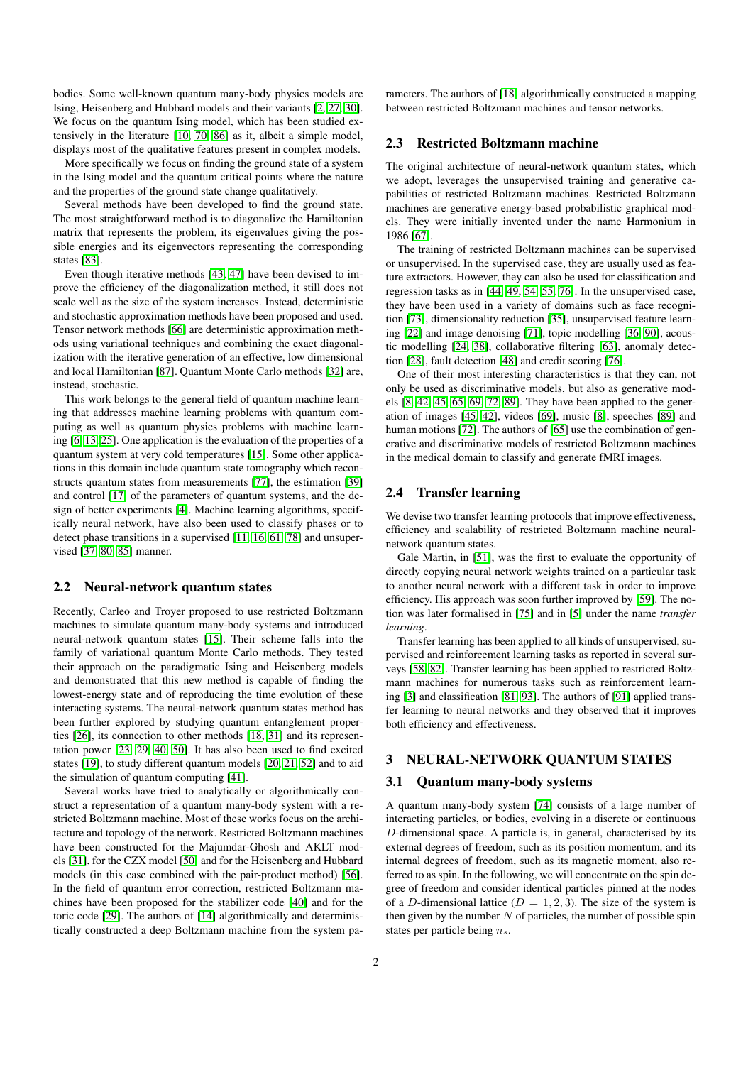bodies. Some well-known quantum many-body physics models are Ising, Heisenberg and Hubbard models and their variants [\[2,](#page-11-4) [27,](#page-12-9) [30\]](#page-12-10). We focus on the quantum Ising model, which has been studied extensively in the literature [\[10,](#page-11-5) [70,](#page-13-6) [86\]](#page-13-7) as it, albeit a simple model, displays most of the qualitative features present in complex models.

More specifically we focus on finding the ground state of a system in the Ising model and the quantum critical points where the nature and the properties of the ground state change qualitatively.

Several methods have been developed to find the ground state. The most straightforward method is to diagonalize the Hamiltonian matrix that represents the problem, its eigenvalues giving the possible energies and its eigenvectors representing the corresponding states [\[83\]](#page-13-5).

Even though iterative methods [\[43,](#page-12-11) [47\]](#page-12-12) have been devised to improve the efficiency of the diagonalization method, it still does not scale well as the size of the system increases. Instead, deterministic and stochastic approximation methods have been proposed and used. Tensor network methods [\[66\]](#page-12-7) are deterministic approximation methods using variational techniques and combining the exact diagonalization with the iterative generation of an effective, low dimensional and local Hamiltonian [\[87\]](#page-13-8). Quantum Monte Carlo methods [\[32\]](#page-12-8) are, instead, stochastic.

This work belongs to the general field of quantum machine learning that addresses machine learning problems with quantum computing as well as quantum physics problems with machine learning [\[6,](#page-11-6) [13,](#page-11-7) [25\]](#page-12-13). One application is the evaluation of the properties of a quantum system at very cold temperatures [\[15\]](#page-11-0). Some other applications in this domain include quantum state tomography which reconstructs quantum states from measurements [\[77\]](#page-13-9), the estimation [\[39\]](#page-12-14) and control [\[17\]](#page-11-8) of the parameters of quantum systems, and the design of better experiments [\[4\]](#page-11-9). Machine learning algorithms, specifically neural network, have also been used to classify phases or to detect phase transitions in a supervised [\[11,](#page-11-10) [16,](#page-11-11) [61,](#page-12-15) [78\]](#page-13-10) and unsupervised [\[37,](#page-12-16) [80,](#page-13-11) [85\]](#page-13-12) manner.

#### 2.2 Neural-network quantum states

Recently, Carleo and Troyer proposed to use restricted Boltzmann machines to simulate quantum many-body systems and introduced neural-network quantum states [\[15\]](#page-11-0). Their scheme falls into the family of variational quantum Monte Carlo methods. They tested their approach on the paradigmatic Ising and Heisenberg models and demonstrated that this new method is capable of finding the lowest-energy state and of reproducing the time evolution of these interacting systems. The neural-network quantum states method has been further explored by studying quantum entanglement properties [\[26\]](#page-12-17), its connection to other methods [\[18,](#page-11-12) [31\]](#page-12-18) and its representation power [\[23,](#page-12-19) [29,](#page-12-20) [40,](#page-12-21) [50\]](#page-12-22). It has also been used to find excited states [\[19\]](#page-11-1), to study different quantum models [\[20,](#page-12-1) [21,](#page-12-2) [52\]](#page-12-4) and to aid the simulation of quantum computing [\[41\]](#page-12-3).

Several works have tried to analytically or algorithmically construct a representation of a quantum many-body system with a restricted Boltzmann machine. Most of these works focus on the architecture and topology of the network. Restricted Boltzmann machines have been constructed for the Majumdar-Ghosh and AKLT models [\[31\]](#page-12-18), for the CZX model [\[50\]](#page-12-22) and for the Heisenberg and Hubbard models (in this case combined with the pair-product method) [\[56\]](#page-12-23). In the field of quantum error correction, restricted Boltzmann machines have been proposed for the stabilizer code [\[40\]](#page-12-21) and for the toric code [\[29\]](#page-12-20). The authors of [\[14\]](#page-11-13) algorithmically and deterministically constructed a deep Boltzmann machine from the system parameters. The authors of [\[18\]](#page-11-12) algorithmically constructed a mapping between restricted Boltzmann machines and tensor networks.

# 2.3 Restricted Boltzmann machine

The original architecture of neural-network quantum states, which we adopt, leverages the unsupervised training and generative capabilities of restricted Boltzmann machines. Restricted Boltzmann machines are generative energy-based probabilistic graphical models. They were initially invented under the name Harmonium in 1986 [\[67\]](#page-12-24).

The training of restricted Boltzmann machines can be supervised or unsupervised. In the supervised case, they are usually used as feature extractors. However, they can also be used for classification and regression tasks as in [\[44,](#page-12-25) [49,](#page-12-26) [54,](#page-12-27) [55,](#page-12-28) [76\]](#page-13-13). In the unsupervised case, they have been used in a variety of domains such as face recognition [\[73\]](#page-13-14), dimensionality reduction [\[35\]](#page-12-29), unsupervised feature learning [\[22\]](#page-12-30) and image denoising [\[71\]](#page-13-15), topic modelling [\[36,](#page-12-31) [90\]](#page-13-16), acoustic modelling [\[24,](#page-12-32) [38\]](#page-12-33), collaborative filtering [\[63\]](#page-12-34), anomaly detection [\[28\]](#page-12-35), fault detection [\[48\]](#page-12-36) and credit scoring [\[76\]](#page-13-13).

One of their most interesting characteristics is that they can, not only be used as discriminative models, but also as generative models [\[8,](#page-11-14) [42,](#page-12-37) [45,](#page-12-38) [65,](#page-12-39) [69,](#page-13-17) [72,](#page-13-18) [89\]](#page-13-19). They have been applied to the generation of images [\[45,](#page-12-38) [42\]](#page-12-37), videos [\[69\]](#page-13-17), music [\[8\]](#page-11-14), speeches [\[89\]](#page-13-19) and human motions [\[72\]](#page-13-18). The authors of [\[65\]](#page-12-39) use the combination of generative and discriminative models of restricted Boltzmann machines in the medical domain to classify and generate fMRI images.

# 2.4 Transfer learning

We devise two transfer learning protocols that improve effectiveness, efficiency and scalability of restricted Boltzmann machine neuralnetwork quantum states.

Gale Martin, in [\[51\]](#page-12-40), was the first to evaluate the opportunity of directly copying neural network weights trained on a particular task to another neural network with a different task in order to improve efficiency. His approach was soon further improved by [\[59\]](#page-12-41). The notion was later formalised in [\[75\]](#page-13-20) and in [\[5\]](#page-11-15) under the name *transfer learning*.

Transfer learning has been applied to all kinds of unsupervised, supervised and reinforcement learning tasks as reported in several surveys [\[58,](#page-12-42) [82\]](#page-13-21). Transfer learning has been applied to restricted Boltzmann machines for numerous tasks such as reinforcement learning [\[3\]](#page-11-16) and classification [\[81,](#page-13-22) [93\]](#page-13-23). The authors of [\[91\]](#page-13-24) applied transfer learning to neural networks and they observed that it improves both efficiency and effectiveness.

# <span id="page-1-0"></span>3 NEURAL-NETWORK QUANTUM STATES

#### 3.1 Quantum many-body systems

A quantum many-body system [\[74\]](#page-13-1) consists of a large number of interacting particles, or bodies, evolving in a discrete or continuous D-dimensional space. A particle is, in general, characterised by its external degrees of freedom, such as its position momentum, and its internal degrees of freedom, such as its magnetic moment, also referred to as spin. In the following, we will concentrate on the spin degree of freedom and consider identical particles pinned at the nodes of a D-dimensional lattice ( $D = 1, 2, 3$ ). The size of the system is then given by the number  $N$  of particles, the number of possible spin states per particle being  $n_s$ .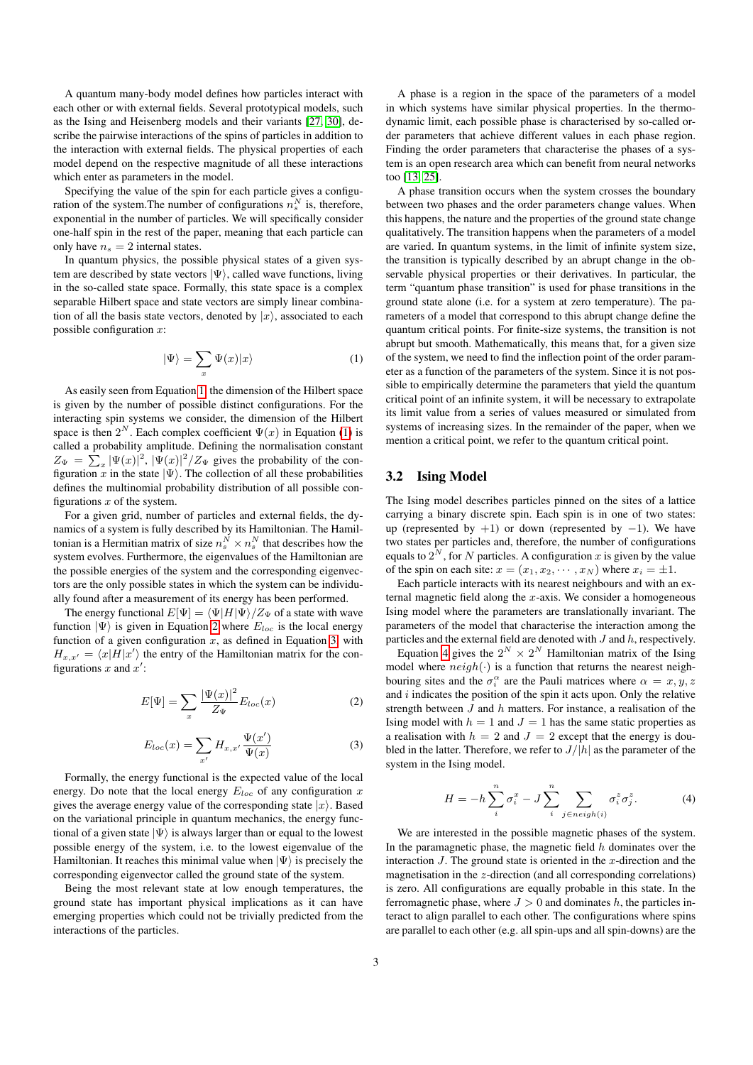A quantum many-body model defines how particles interact with each other or with external fields. Several prototypical models, such as the Ising and Heisenberg models and their variants [\[27,](#page-12-9) [30\]](#page-12-10), describe the pairwise interactions of the spins of particles in addition to the interaction with external fields. The physical properties of each model depend on the respective magnitude of all these interactions which enter as parameters in the model.

Specifying the value of the spin for each particle gives a configuration of the system. The number of configurations  $n_s^N$  is, therefore, exponential in the number of particles. We will specifically consider one-half spin in the rest of the paper, meaning that each particle can only have  $n_s = 2$  internal states.

In quantum physics, the possible physical states of a given system are described by state vectors  $|\Psi\rangle$ , called wave functions, living in the so-called state space. Formally, this state space is a complex separable Hilbert space and state vectors are simply linear combination of all the basis state vectors, denoted by  $|x\rangle$ , associated to each possible configuration  $x$ :

$$
|\Psi\rangle = \sum_{x} \Psi(x)|x\rangle \tag{1}
$$

<span id="page-2-0"></span>As easily seen from Equation [1,](#page-2-0) the dimension of the Hilbert space is given by the number of possible distinct configurations. For the interacting spin systems we consider, the dimension of the Hilbert space is then  $2^N$ . Each complex coefficient  $\Psi(x)$  in Equation [\(1\)](#page-2-0) is called a probability amplitude. Defining the normalisation constant  $Z_{\Psi} = \sum_{x} |\Psi(x)|^2$ ,  $|\Psi(x)|^2 / Z_{\Psi}$  gives the probability of the configuration x in the state  $|\Psi\rangle$ . The collection of all these probabilities defines the multinomial probability distribution of all possible configurations  $x$  of the system.

For a given grid, number of particles and external fields, the dynamics of a system is fully described by its Hamiltonian. The Hamiltonian is a Hermitian matrix of size  $n_s^N \times n_s^N$  that describes how the system evolves. Furthermore, the eigenvalues of the Hamiltonian are the possible energies of the system and the corresponding eigenvectors are the only possible states in which the system can be individually found after a measurement of its energy has been performed.

<span id="page-2-1"></span>The energy functional  $E[\Psi] = \langle \Psi | H | \Psi \rangle / Z_{\Psi}$  of a state with wave function  $|\Psi\rangle$  is given in Equation [2](#page-2-1) where  $E_{loc}$  is the local energy function of a given configuration  $x$ , as defined in Equation [3,](#page-2-2) with  $H_{x,x'} = \langle x|H|x'\rangle$  the entry of the Hamiltonian matrix for the configurations  $x$  and  $x'$ :

$$
E[\Psi] = \sum_{x} \frac{|\Psi(x)|^2}{Z_{\Psi}} E_{loc}(x)
$$
 (2)

$$
E_{loc}(x) = \sum_{x'} H_{x,x'} \frac{\Psi(x')}{\Psi(x)}
$$
 (3)

<span id="page-2-2"></span>Formally, the energy functional is the expected value of the local energy. Do note that the local energy  $E_{loc}$  of any configuration x gives the average energy value of the corresponding state  $|x\rangle$ . Based on the variational principle in quantum mechanics, the energy functional of a given state  $|\Psi\rangle$  is always larger than or equal to the lowest possible energy of the system, i.e. to the lowest eigenvalue of the Hamiltonian. It reaches this minimal value when  $|\Psi\rangle$  is precisely the corresponding eigenvector called the ground state of the system.

Being the most relevant state at low enough temperatures, the ground state has important physical implications as it can have emerging properties which could not be trivially predicted from the interactions of the particles.

A phase is a region in the space of the parameters of a model in which systems have similar physical properties. In the thermodynamic limit, each possible phase is characterised by so-called order parameters that achieve different values in each phase region. Finding the order parameters that characterise the phases of a system is an open research area which can benefit from neural networks too [\[13,](#page-11-7) [25\]](#page-12-13).

A phase transition occurs when the system crosses the boundary between two phases and the order parameters change values. When this happens, the nature and the properties of the ground state change qualitatively. The transition happens when the parameters of a model are varied. In quantum systems, in the limit of infinite system size, the transition is typically described by an abrupt change in the observable physical properties or their derivatives. In particular, the term "quantum phase transition" is used for phase transitions in the ground state alone (i.e. for a system at zero temperature). The parameters of a model that correspond to this abrupt change define the quantum critical points. For finite-size systems, the transition is not abrupt but smooth. Mathematically, this means that, for a given size of the system, we need to find the inflection point of the order parameter as a function of the parameters of the system. Since it is not possible to empirically determine the parameters that yield the quantum critical point of an infinite system, it will be necessary to extrapolate its limit value from a series of values measured or simulated from systems of increasing sizes. In the remainder of the paper, when we mention a critical point, we refer to the quantum critical point.

# 3.2 Ising Model

The Ising model describes particles pinned on the sites of a lattice carrying a binary discrete spin. Each spin is in one of two states: up (represented by  $+1$ ) or down (represented by  $-1$ ). We have two states per particles and, therefore, the number of configurations equals to  $2^N$ , for N particles. A configuration x is given by the value of the spin on each site:  $x = (x_1, x_2, \dots, x_N)$  where  $x_i = \pm 1$ .

Each particle interacts with its nearest neighbours and with an external magnetic field along the  $x$ -axis. We consider a homogeneous Ising model where the parameters are translationally invariant. The parameters of the model that characterise the interaction among the particles and the external field are denoted with  $J$  and  $h$ , respectively.

Equation [4](#page-2-3) gives the  $2^N \times 2^N$  Hamiltonian matrix of the Ising model where  $neigh(\cdot)$  is a function that returns the nearest neighbouring sites and the  $\sigma_i^{\alpha}$  are the Pauli matrices where  $\alpha = x, y, z$ and  $i$  indicates the position of the spin it acts upon. Only the relative strength between  $J$  and  $h$  matters. For instance, a realisation of the Ising model with  $h = 1$  and  $J = 1$  has the same static properties as a realisation with  $h = 2$  and  $J = 2$  except that the energy is doubled in the latter. Therefore, we refer to  $J/|h|$  as the parameter of the system in the Ising model.

$$
H = -h\sum_{i}^{n} \sigma_i^x - J \sum_{i}^{n} \sum_{j \in neigh(i)} \sigma_i^z \sigma_j^z.
$$
 (4)

<span id="page-2-3"></span>We are interested in the possible magnetic phases of the system. In the paramagnetic phase, the magnetic field  $h$  dominates over the interaction  $J$ . The ground state is oriented in the  $x$ -direction and the magnetisation in the z-direction (and all corresponding correlations) is zero. All configurations are equally probable in this state. In the ferromagnetic phase, where  $J > 0$  and dominates h, the particles interact to align parallel to each other. The configurations where spins are parallel to each other (e.g. all spin-ups and all spin-downs) are the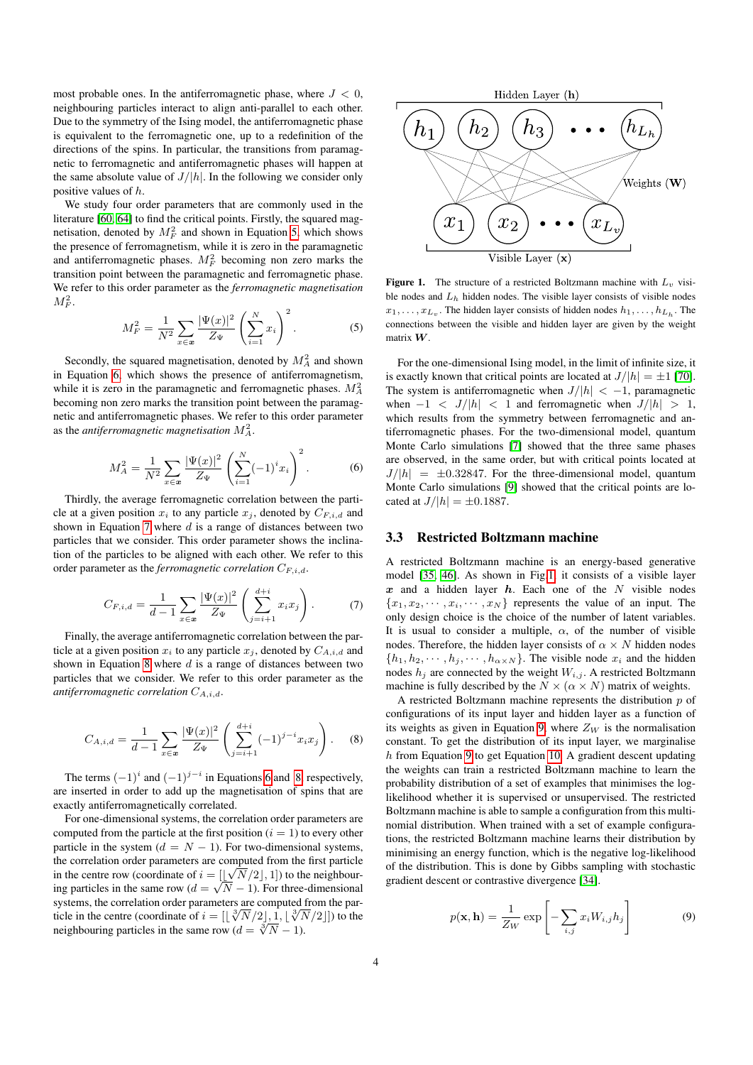most probable ones. In the antiferromagnetic phase, where  $J < 0$ , neighbouring particles interact to align anti-parallel to each other. Due to the symmetry of the Ising model, the antiferromagnetic phase is equivalent to the ferromagnetic one, up to a redefinition of the directions of the spins. In particular, the transitions from paramagnetic to ferromagnetic and antiferromagnetic phases will happen at the same absolute value of  $J/|h|$ . In the following we consider only positive values of h.

We study four order parameters that are commonly used in the literature [\[60,](#page-12-43) [64\]](#page-12-44) to find the critical points. Firstly, the squared magnetisation, denoted by  $M_F^2$  and shown in Equation [5,](#page-3-0) which shows the presence of ferromagnetism, while it is zero in the paramagnetic and antiferromagnetic phases.  $M_F^2$  becoming non zero marks the transition point between the paramagnetic and ferromagnetic phase. We refer to this order parameter as the *ferromagnetic magnetisation*  $M^2_F$  .

<span id="page-3-0"></span>
$$
M_F^2 = \frac{1}{N^2} \sum_{x \in \mathbf{x}} \frac{|\Psi(x)|^2}{Z_\Psi} \left(\sum_{i=1}^N x_i\right)^2.
$$
 (5)

Secondly, the squared magnetisation, denoted by  $M_A^2$  and shown in Equation [6,](#page-3-1) which shows the presence of antiferromagnetism, while it is zero in the paramagnetic and ferromagnetic phases.  $M_A^2$ becoming non zero marks the transition point between the paramagnetic and antiferromagnetic phases. We refer to this order parameter as the *antiferromagnetic magnetisation*  $M_A^2$ .

<span id="page-3-1"></span>
$$
M_A^2 = \frac{1}{N^2} \sum_{x \in \mathbf{x}} \frac{|\Psi(x)|^2}{Z_\Psi} \left( \sum_{i=1}^N (-1)^i x_i \right)^2.
$$
 (6)

Thirdly, the average ferromagnetic correlation between the particle at a given position  $x_i$  to any particle  $x_j$ , denoted by  $C_{F,i,d}$  and shown in Equation [7](#page-3-2) where  $d$  is a range of distances between two particles that we consider. This order parameter shows the inclination of the particles to be aligned with each other. We refer to this order parameter as the *ferromagnetic correlation*  $C_{F,i,d}$ .

<span id="page-3-2"></span>
$$
C_{F,i,d} = \frac{1}{d-1} \sum_{x \in \mathbf{x}} \frac{|\Psi(x)|^2}{Z_{\Psi}} \left( \sum_{j=i+1}^{d+i} x_i x_j \right). \tag{7}
$$

Finally, the average antiferromagnetic correlation between the particle at a given position  $x_i$  to any particle  $x_j$ , denoted by  $C_{A,i,d}$  and shown in Equation [8](#page-3-3) where  $d$  is a range of distances between two particles that we consider. We refer to this order parameter as the *antiferromagnetic correlation* CA,i,d.

<span id="page-3-3"></span>
$$
C_{A,i,d} = \frac{1}{d-1} \sum_{x \in \mathbf{x}} \frac{|\Psi(x)|^2}{Z_{\Psi}} \left( \sum_{j=i+1}^{d+i} (-1)^{j-i} x_i x_j \right). \tag{8}
$$

The terms  $(-1)^i$  and  $(-1)^{j-i}$  in Equations [6](#page-3-1) and [8,](#page-3-3) respectively, are inserted in order to add up the magnetisation of spins that are exactly antiferromagnetically correlated.

For one-dimensional systems, the correlation order parameters are computed from the particle at the first position  $(i = 1)$  to every other particle in the system ( $d = N - 1$ ). For two-dimensional systems, the correlation order parameters are computed from the first particle in the centre row (coordinate of  $i = [\lfloor \sqrt{N/2} \rfloor, 1]$ ) to the neighbourin the centre row (coordinate of  $i = \lfloor \lfloor \sqrt{N/2} \rfloor, 1$ ) to the neighbour-<br>ing particles in the same row  $(d = \sqrt{N} - 1)$ . For three-dimensional systems, the correlation order parameters are computed from the parsystems, the correlation order parameters are computed from the particle in the centre (coordinate of  $i = [\frac{3}{N} \sqrt{2} / 2], 1, \frac{3}{N} \sqrt{2}]$ ) to the neighbouring particles in the same row  $(d = \sqrt[3]{N} - 1)$ .



<span id="page-3-4"></span>Figure 1. The structure of a restricted Boltzmann machine with  $L_v$  visible nodes and  $L<sub>h</sub>$  hidden nodes. The visible layer consists of visible nodes  $x_1, \ldots, x_{L_v}$ . The hidden layer consists of hidden nodes  $h_1, \ldots, h_{L_h}$ . The connections between the visible and hidden layer are given by the weight matrix W.

For the one-dimensional Ising model, in the limit of infinite size, it is exactly known that critical points are located at  $J/|h| = \pm 1$  [\[70\]](#page-13-6). The system is antiferromagnetic when  $J/|h| < -1$ , paramagnetic when  $-1 < J/|h| < 1$  and ferromagnetic when  $J/|h| > 1$ , which results from the symmetry between ferromagnetic and antiferromagnetic phases. For the two-dimensional model, quantum Monte Carlo simulations [\[7\]](#page-11-2) showed that the three same phases are observed, in the same order, but with critical points located at  $J/|h| = \pm 0.32847$ . For the three-dimensional model, quantum Monte Carlo simulations [\[9\]](#page-11-3) showed that the critical points are located at  $J/|h| = \pm 0.1887$ .

#### 3.3 Restricted Boltzmann machine

A restricted Boltzmann machine is an energy-based generative model [\[35,](#page-12-29) [46\]](#page-12-45). As shown in Fig[.1,](#page-3-4) it consists of a visible layer  $x$  and a hidden layer  $h$ . Each one of the  $N$  visible nodes  ${x_1, x_2, \dots, x_i, \dots, x_N}$  represents the value of an input. The only design choice is the choice of the number of latent variables. It is usual to consider a multiple,  $\alpha$ , of the number of visible nodes. Therefore, the hidden layer consists of  $\alpha \times N$  hidden nodes  $\{h_1, h_2, \cdots, h_j, \cdots, h_{\alpha \times N}\}.$  The visible node  $x_i$  and the hidden nodes  $h_j$  are connected by the weight  $W_{i,j}$ . A restricted Boltzmann machine is fully described by the  $N \times (\alpha \times N)$  matrix of weights.

A restricted Boltzmann machine represents the distribution  $p$  of configurations of its input layer and hidden layer as a function of its weights as given in Equation [9,](#page-3-5) where  $Z_W$  is the normalisation constant. To get the distribution of its input layer, we marginalise h from Equation [9](#page-3-5) to get Equation [10.](#page-4-1) A gradient descent updating the weights can train a restricted Boltzmann machine to learn the probability distribution of a set of examples that minimises the loglikelihood whether it is supervised or unsupervised. The restricted Boltzmann machine is able to sample a configuration from this multinomial distribution. When trained with a set of example configurations, the restricted Boltzmann machine learns their distribution by minimising an energy function, which is the negative log-likelihood of the distribution. This is done by Gibbs sampling with stochastic gradient descent or contrastive divergence [\[34\]](#page-12-46).

<span id="page-3-5"></span>
$$
p(\mathbf{x}, \mathbf{h}) = \frac{1}{Z_W} \exp\left[-\sum_{i,j} x_i W_{i,j} h_j\right]
$$
(9)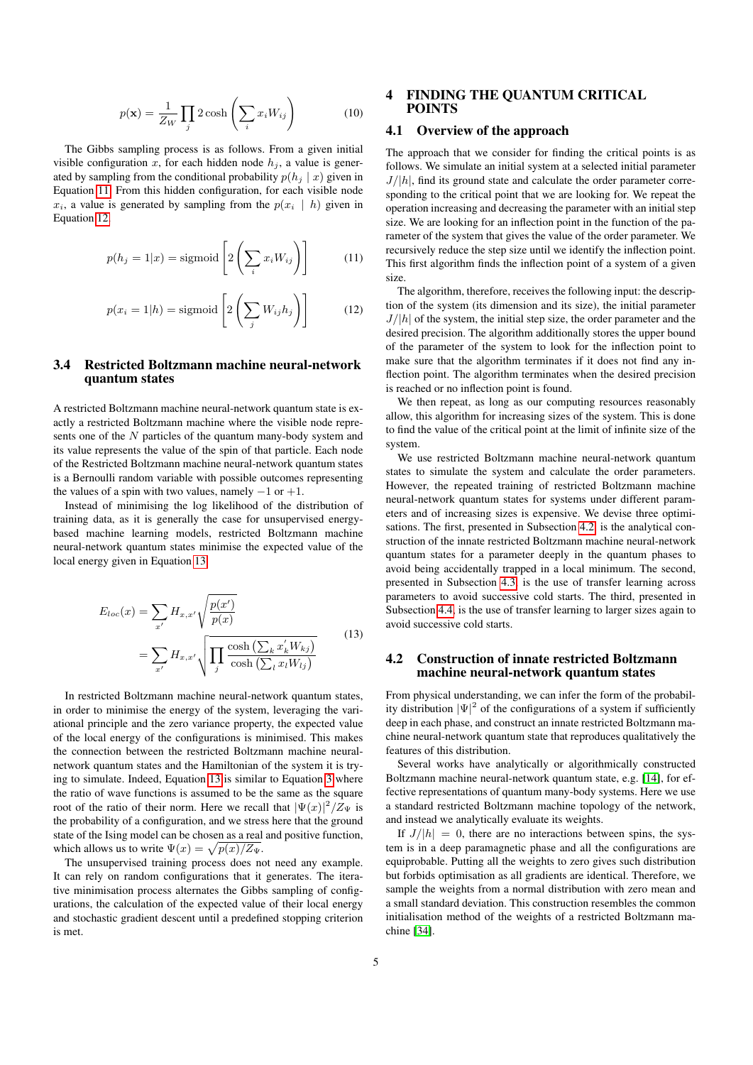$$
p(\mathbf{x}) = \frac{1}{Z_W} \prod_j 2 \cosh\left(\sum_i x_i W_{ij}\right) \tag{10}
$$

<span id="page-4-1"></span>The Gibbs sampling process is as follows. From a given initial visible configuration x, for each hidden node  $h_i$ , a value is generated by sampling from the conditional probability  $p(h_i | x)$  given in Equation [11.](#page-4-2) From this hidden configuration, for each visible node  $x_i$ , a value is generated by sampling from the  $p(x_i | h)$  given in Equation [12.](#page-4-3)

<span id="page-4-2"></span>
$$
p(h_j = 1|x) = \text{sigmoid}\left[2\left(\sum_i x_i W_{ij}\right)\right]
$$
 (11)

<span id="page-4-3"></span>
$$
p(x_i = 1|h) = \text{sigmoid}\left[2\left(\sum_j W_{ij}h_j\right)\right]
$$
 (12)

# 3.4 Restricted Boltzmann machine neural-network quantum states

A restricted Boltzmann machine neural-network quantum state is exactly a restricted Boltzmann machine where the visible node represents one of the N particles of the quantum many-body system and its value represents the value of the spin of that particle. Each node of the Restricted Boltzmann machine neural-network quantum states is a Bernoulli random variable with possible outcomes representing the values of a spin with two values, namely  $-1$  or  $+1$ .

Instead of minimising the log likelihood of the distribution of training data, as it is generally the case for unsupervised energybased machine learning models, restricted Boltzmann machine neural-network quantum states minimise the expected value of the local energy given in Equation [13.](#page-4-4)

$$
E_{loc}(x) = \sum_{x'} H_{x,x'} \sqrt{\frac{p(x')}{p(x)}}
$$
  
= 
$$
\sum_{x'} H_{x,x'} \sqrt{\prod_{j} \frac{\cosh\left(\sum_{k} x'_k W_{kj}\right)}{\cosh\left(\sum_{l} x_l W_{lj}\right)}}
$$
(13)

In restricted Boltzmann machine neural-network quantum states, in order to minimise the energy of the system, leveraging the variational principle and the zero variance property, the expected value of the local energy of the configurations is minimised. This makes the connection between the restricted Boltzmann machine neuralnetwork quantum states and the Hamiltonian of the system it is trying to simulate. Indeed, Equation [13](#page-4-4) is similar to Equation [3](#page-2-2) where the ratio of wave functions is assumed to be the same as the square root of the ratio of their norm. Here we recall that  $|\Psi(x)|^2/Z_{\Psi}$  is the probability of a configuration, and we stress here that the ground state of the Ising model can be chosen as a real and positive function, which allows us to write  $\Psi(x) = \sqrt{p(x)/Z_{\Psi}}$ .

The unsupervised training process does not need any example. It can rely on random configurations that it generates. The iterative minimisation process alternates the Gibbs sampling of configurations, the calculation of the expected value of their local energy and stochastic gradient descent until a predefined stopping criterion is met.

# <span id="page-4-0"></span>4 FINDING THE QUANTUM CRITICAL POINTS

# 4.1 Overview of the approach

The approach that we consider for finding the critical points is as follows. We simulate an initial system at a selected initial parameter  $J/|h|$ , find its ground state and calculate the order parameter corresponding to the critical point that we are looking for. We repeat the operation increasing and decreasing the parameter with an initial step size. We are looking for an inflection point in the function of the parameter of the system that gives the value of the order parameter. We recursively reduce the step size until we identify the inflection point. This first algorithm finds the inflection point of a system of a given size.

The algorithm, therefore, receives the following input: the description of the system (its dimension and its size), the initial parameter  $J/|h|$  of the system, the initial step size, the order parameter and the desired precision. The algorithm additionally stores the upper bound of the parameter of the system to look for the inflection point to make sure that the algorithm terminates if it does not find any inflection point. The algorithm terminates when the desired precision is reached or no inflection point is found.

We then repeat, as long as our computing resources reasonably allow, this algorithm for increasing sizes of the system. This is done to find the value of the critical point at the limit of infinite size of the system.

We use restricted Boltzmann machine neural-network quantum states to simulate the system and calculate the order parameters. However, the repeated training of restricted Boltzmann machine neural-network quantum states for systems under different parameters and of increasing sizes is expensive. We devise three optimisations. The first, presented in Subsection [4.2,](#page-4-5) is the analytical construction of the innate restricted Boltzmann machine neural-network quantum states for a parameter deeply in the quantum phases to avoid being accidentally trapped in a local minimum. The second, presented in Subsection [4.3,](#page-5-1) is the use of transfer learning across parameters to avoid successive cold starts. The third, presented in Subsection [4.4,](#page-5-2) is the use of transfer learning to larger sizes again to avoid successive cold starts.

# <span id="page-4-5"></span><span id="page-4-4"></span>4.2 Construction of innate restricted Boltzmann machine neural-network quantum states

From physical understanding, we can infer the form of the probability distribution  $|\Psi|^2$  of the configurations of a system if sufficiently deep in each phase, and construct an innate restricted Boltzmann machine neural-network quantum state that reproduces qualitatively the features of this distribution.

Several works have analytically or algorithmically constructed Boltzmann machine neural-network quantum state, e.g. [\[14\]](#page-11-13), for effective representations of quantum many-body systems. Here we use a standard restricted Boltzmann machine topology of the network, and instead we analytically evaluate its weights.

If  $J/|h| = 0$ , there are no interactions between spins, the system is in a deep paramagnetic phase and all the configurations are equiprobable. Putting all the weights to zero gives such distribution but forbids optimisation as all gradients are identical. Therefore, we sample the weights from a normal distribution with zero mean and a small standard deviation. This construction resembles the common initialisation method of the weights of a restricted Boltzmann machine [\[34\]](#page-12-46).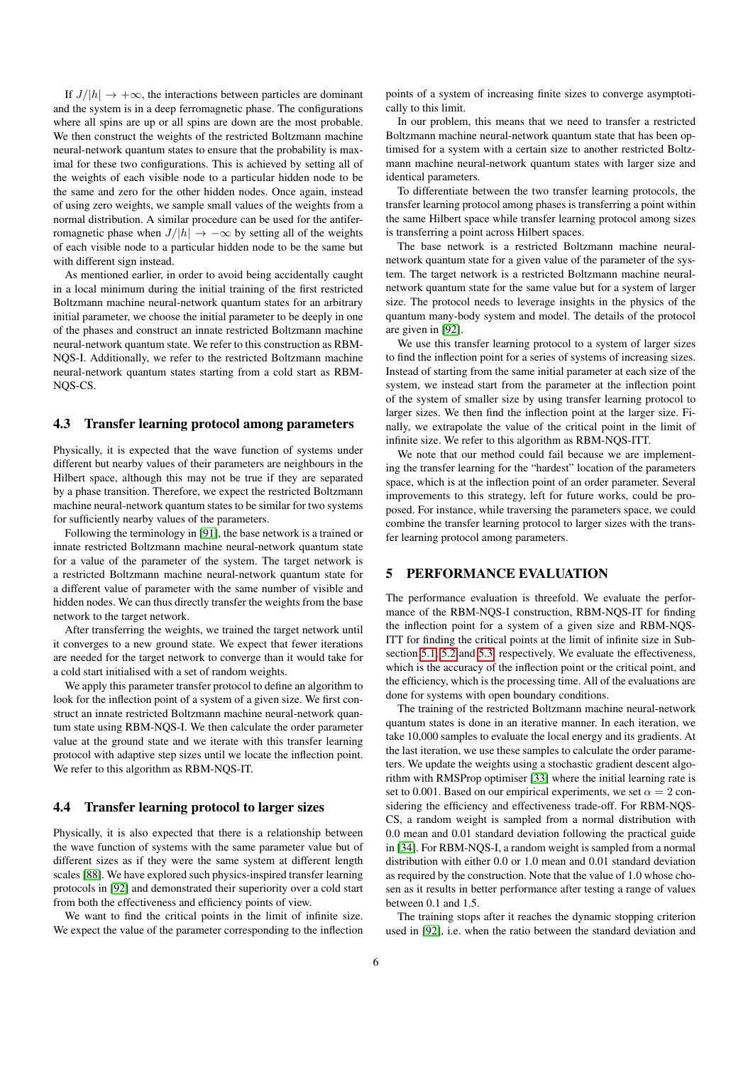If  $J/|h| \to +\infty$ , the interactions between particles are dominant and the system is in a deep ferromagnetic phase. The configurations where all spins are up or all spins are down are the most probable. We then construct the weights of the restricted Boltzmann machine neural-network quantum states to ensure that the probability is maximal for these two configurations. This is achieved by setting all of the weights of each visible node to a particular hidden node to be the same and zero for the other hidden nodes. Once again, instead of using zero weights, we sample small values of the weights from a normal distribution. A similar procedure can be used for the antiferromagnetic phase when  $J/|h| \to -\infty$  by setting all of the weights of each visible node to a particular hidden node to be the same but with different sign instead.

As mentioned earlier, in order to avoid being accidentally caught in a local minimum during the initial training of the first restricted Boltzmann machine neural-network quantum states for an arbitrary initial parameter, we choose the initial parameter to be deeply in one of the phases and construct an innate restricted Boltzmann machine neural-network quantum state. We refer to this construction as RBM-NQS-I. Additionally, we refer to the restricted Boltzmann machine neural-network quantum states starting from a cold start as RBM-NQS-CS.

#### <span id="page-5-1"></span>4.3 Transfer learning protocol among parameters

Physically, it is expected that the wave function of systems under different but nearby values of their parameters are neighbours in the Hilbert space, although this may not be true if they are separated by a phase transition. Therefore, we expect the restricted Boltzmann machine neural-network quantum states to be similar for two systems for sufficiently nearby values of the parameters.

Following the terminology in [\[91\]](#page-13-24), the base network is a trained or innate restricted Boltzmann machine neural-network quantum state for a value of the parameter of the system. The target network is a restricted Boltzmann machine neural-network quantum state for a different value of parameter with the same number of visible and hidden nodes. We can thus directly transfer the weights from the base network to the target network.

After transferring the weights, we trained the target network until it converges to a new ground state. We expect that fewer iterations are needed for the target network to converge than it would take for a cold start initialised with a set of random weights.

We apply this parameter transfer protocol to define an algorithm to look for the inflection point of a system of a given size. We first construct an innate restricted Boltzmann machine neural-network quantum state using RBM-NQS-I. We then calculate the order parameter value at the ground state and we iterate with this transfer learning protocol with adaptive step sizes until we locate the inflection point. We refer to this algorithm as RBM-NQS-IT.

# <span id="page-5-2"></span>4.4 Transfer learning protocol to larger sizes

Physically, it is also expected that there is a relationship between the wave function of systems with the same parameter value but of different sizes as if they were the same system at different length scales [\[88\]](#page-13-25). We have explored such physics-inspired transfer learning protocols in [\[92\]](#page-13-4) and demonstrated their superiority over a cold start from both the effectiveness and efficiency points of view.

We want to find the critical points in the limit of infinite size. We expect the value of the parameter corresponding to the inflection

points of a system of increasing finite sizes to converge asymptotically to this limit.

In our problem, this means that we need to transfer a restricted Boltzmann machine neural-network quantum state that has been optimised for a system with a certain size to another restricted Boltzmann machine neural-network quantum states with larger size and identical parameters.

To differentiate between the two transfer learning protocols, the transfer learning protocol among phases is transferring a point within the same Hilbert space while transfer learning protocol among sizes is transferring a point across Hilbert spaces.

The base network is a restricted Boltzmann machine neuralnetwork quantum state for a given value of the parameter of the system. The target network is a restricted Boltzmann machine neuralnetwork quantum state for the same value but for a system of larger size. The protocol needs to leverage insights in the physics of the quantum many-body system and model. The details of the protocol are given in [\[92\]](#page-13-4).

We use this transfer learning protocol to a system of larger sizes to find the inflection point for a series of systems of increasing sizes. Instead of starting from the same initial parameter at each size of the system, we instead start from the parameter at the inflection point of the system of smaller size by using transfer learning protocol to larger sizes. We then find the inflection point at the larger size. Finally, we extrapolate the value of the critical point in the limit of infinite size. We refer to this algorithm as RBM-NQS-ITT.

We note that our method could fail because we are implementing the transfer learning for the "hardest" location of the parameters space, which is at the inflection point of an order parameter. Several improvements to this strategy, left for future works, could be proposed. For instance, while traversing the parameters space, we could combine the transfer learning protocol to larger sizes with the transfer learning protocol among parameters.

# <span id="page-5-0"></span>5 PERFORMANCE EVALUATION

The performance evaluation is threefold. We evaluate the performance of the RBM-NQS-I construction, RBM-NQS-IT for finding the inflection point for a system of a given size and RBM-NQS-ITT for finding the critical points at the limit of infinite size in Subsection [5.1,](#page-6-0) [5.2](#page-6-1) and [5.3,](#page-8-0) respectively. We evaluate the effectiveness, which is the accuracy of the inflection point or the critical point, and the efficiency, which is the processing time. All of the evaluations are done for systems with open boundary conditions.

The training of the restricted Boltzmann machine neural-network quantum states is done in an iterative manner. In each iteration, we take 10,000 samples to evaluate the local energy and its gradients. At the last iteration, we use these samples to calculate the order parameters. We update the weights using a stochastic gradient descent algorithm with RMSProp optimiser [\[33\]](#page-12-47) where the initial learning rate is set to 0.001. Based on our empirical experiments, we set  $\alpha = 2$  considering the efficiency and effectiveness trade-off. For RBM-NQS-CS, a random weight is sampled from a normal distribution with 0.0 mean and 0.01 standard deviation following the practical guide in [\[34\]](#page-12-46). For RBM-NQS-I, a random weight is sampled from a normal distribution with either 0.0 or 1.0 mean and 0.01 standard deviation as required by the construction. Note that the value of 1.0 whose chosen as it results in better performance after testing a range of values between 0.1 and 1.5.

The training stops after it reaches the dynamic stopping criterion used in [\[92\]](#page-13-4), i.e. when the ratio between the standard deviation and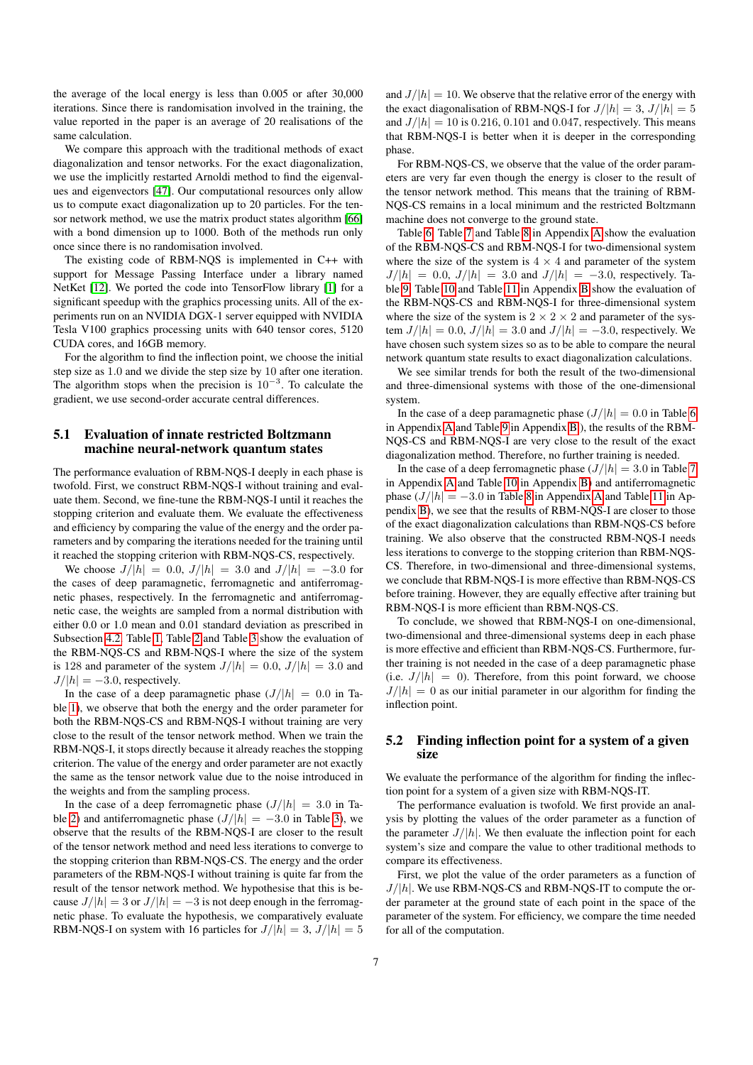the average of the local energy is less than 0.005 or after 30,000 iterations. Since there is randomisation involved in the training, the value reported in the paper is an average of 20 realisations of the same calculation.

We compare this approach with the traditional methods of exact diagonalization and tensor networks. For the exact diagonalization, we use the implicitly restarted Arnoldi method to find the eigenvalues and eigenvectors [\[47\]](#page-12-12). Our computational resources only allow us to compute exact diagonalization up to 20 particles. For the tensor network method, we use the matrix product states algorithm [\[66\]](#page-12-7) with a bond dimension up to 1000. Both of the methods run only once since there is no randomisation involved.

The existing code of RBM-NQS is implemented in C++ with support for Message Passing Interface under a library named NetKet [\[12\]](#page-11-17). We ported the code into TensorFlow library [\[1\]](#page-11-18) for a significant speedup with the graphics processing units. All of the experiments run on an NVIDIA DGX-1 server equipped with NVIDIA Tesla V100 graphics processing units with 640 tensor cores, 5120 CUDA cores, and 16GB memory.

For the algorithm to find the inflection point, we choose the initial step size as 1.0 and we divide the step size by 10 after one iteration. The algorithm stops when the precision is  $10^{-3}$ . To calculate the gradient, we use second-order accurate central differences.

#### <span id="page-6-0"></span>5.1 Evaluation of innate restricted Boltzmann machine neural-network quantum states

The performance evaluation of RBM-NQS-I deeply in each phase is twofold. First, we construct RBM-NQS-I without training and evaluate them. Second, we fine-tune the RBM-NQS-I until it reaches the stopping criterion and evaluate them. We evaluate the effectiveness and efficiency by comparing the value of the energy and the order parameters and by comparing the iterations needed for the training until it reached the stopping criterion with RBM-NQS-CS, respectively.

We choose  $J/|h| = 0.0$ ,  $J/|h| = 3.0$  and  $J/|h| = -3.0$  for the cases of deep paramagnetic, ferromagnetic and antiferromagnetic phases, respectively. In the ferromagnetic and antiferromagnetic case, the weights are sampled from a normal distribution with either 0.0 or 1.0 mean and 0.01 standard deviation as prescribed in Subsection [4.2.](#page-4-5) Table [1,](#page-7-0) Table [2](#page-7-1) and Table [3](#page-7-2) show the evaluation of the RBM-NQS-CS and RBM-NQS-I where the size of the system is 128 and parameter of the system  $J/|h| = 0.0$ ,  $J/|h| = 3.0$  and  $J/|h| = -3.0$ , respectively.

In the case of a deep paramagnetic phase  $(J/|h| = 0.0$  in Table [1\)](#page-7-0), we observe that both the energy and the order parameter for both the RBM-NQS-CS and RBM-NQS-I without training are very close to the result of the tensor network method. When we train the RBM-NQS-I, it stops directly because it already reaches the stopping criterion. The value of the energy and order parameter are not exactly the same as the tensor network value due to the noise introduced in the weights and from the sampling process.

In the case of a deep ferromagnetic phase  $(J/|h| = 3.0$  in Ta-ble [2\)](#page-7-1) and antiferromagnetic phase  $(J/|h| = -3.0$  in Table [3\)](#page-7-2), we observe that the results of the RBM-NQS-I are closer to the result of the tensor network method and need less iterations to converge to the stopping criterion than RBM-NQS-CS. The energy and the order parameters of the RBM-NQS-I without training is quite far from the result of the tensor network method. We hypothesise that this is because  $J/|h| = 3$  or  $J/|h| = -3$  is not deep enough in the ferromagnetic phase. To evaluate the hypothesis, we comparatively evaluate RBM-NQS-I on system with 16 particles for  $J/|h| = 3$ ,  $J/|h| = 5$ 

and  $J/|h| = 10$ . We observe that the relative error of the energy with the exact diagonalisation of RBM-NQS-I for  $J/|h| = 3$ ,  $J/|h| = 5$ and  $J/|h| = 10$  is 0.216, 0.101 and 0.047, respectively. This means that RBM-NQS-I is better when it is deeper in the corresponding phase.

For RBM-NQS-CS, we observe that the value of the order parameters are very far even though the energy is closer to the result of the tensor network method. This means that the training of RBM-NQS-CS remains in a local minimum and the restricted Boltzmann machine does not converge to the ground state.

Table [6,](#page-14-0) Table [7](#page-14-1) and Table [8](#page-14-2) in Appendix [A](#page-14-3) show the evaluation of the RBM-NQS-CS and RBM-NQS-I for two-dimensional system where the size of the system is  $4 \times 4$  and parameter of the system  $J/|h| = 0.0, J/|h| = 3.0$  and  $J/|h| = -3.0$ , respectively. Table [9,](#page-15-0) Table [10](#page-15-1) and Table [11](#page-15-2) in Appendix [B](#page-14-4) show the evaluation of the RBM-NQS-CS and RBM-NQS-I for three-dimensional system where the size of the system is 2  $\times$  2  $\times$  2 and parameter of the system  $J/|h| = 0.0$ ,  $J/|h| = 3.0$  and  $J/|h| = -3.0$ , respectively. We have chosen such system sizes so as to be able to compare the neural network quantum state results to exact diagonalization calculations.

We see similar trends for both the result of the two-dimensional and three-dimensional systems with those of the one-dimensional system.

In the case of a deep paramagnetic phase  $(J/|h| = 0.0$  in Table [6](#page-14-0) in Appendix [A](#page-14-3) and Table [9](#page-15-0) in Appendix [B](#page-14-4) ), the results of the RBM-NQS-CS and RBM-NQS-I are very close to the result of the exact diagonalization method. Therefore, no further training is needed.

In the case of a deep ferromagnetic phase  $(J/|h| = 3.0$  in Table [7](#page-14-1) in Appendix [A](#page-14-3) and Table [10](#page-15-1) in Appendix [B\)](#page-14-4) and antiferromagnetic phase  $(J/|h| = -3.0$  in Table [8](#page-14-2) in [A](#page-14-3)ppendix A and Table [11](#page-15-2) in Appendix [B\)](#page-14-4), we see that the results of RBM-NQS-I are closer to those of the exact diagonalization calculations than RBM-NQS-CS before training. We also observe that the constructed RBM-NQS-I needs less iterations to converge to the stopping criterion than RBM-NQS-CS. Therefore, in two-dimensional and three-dimensional systems, we conclude that RBM-NQS-I is more effective than RBM-NQS-CS before training. However, they are equally effective after training but RBM-NQS-I is more efficient than RBM-NQS-CS.

To conclude, we showed that RBM-NQS-I on one-dimensional, two-dimensional and three-dimensional systems deep in each phase is more effective and efficient than RBM-NQS-CS. Furthermore, further training is not needed in the case of a deep paramagnetic phase (i.e.  $J/|h| = 0$ ). Therefore, from this point forward, we choose  $J/|h| = 0$  as our initial parameter in our algorithm for finding the inflection point.

# <span id="page-6-1"></span>5.2 Finding inflection point for a system of a given size

We evaluate the performance of the algorithm for finding the inflection point for a system of a given size with RBM-NQS-IT.

The performance evaluation is twofold. We first provide an analysis by plotting the values of the order parameter as a function of the parameter  $J/|h|$ . We then evaluate the inflection point for each system's size and compare the value to other traditional methods to compare its effectiveness.

First, we plot the value of the order parameters as a function of  $J/|h|$ . We use RBM-NQS-CS and RBM-NQS-IT to compute the order parameter at the ground state of each point in the space of the parameter of the system. For efficiency, we compare the time needed for all of the computation.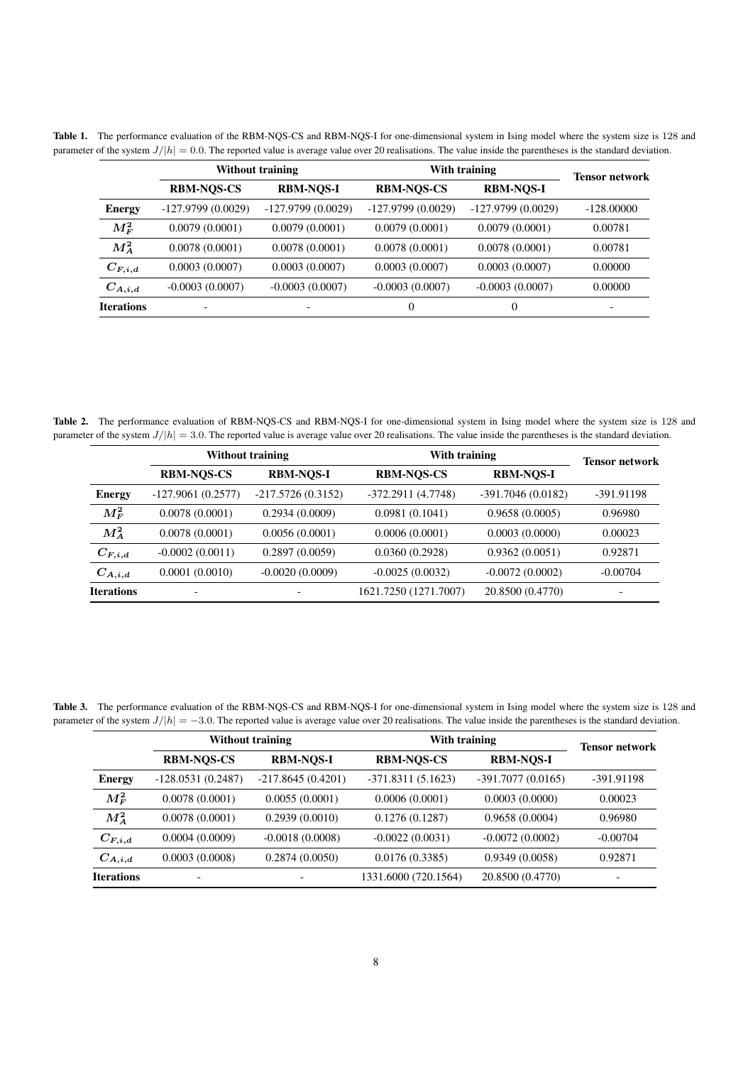<span id="page-7-0"></span>

|                   |                          | <b>Without training</b> |                     | With training       |                          |
|-------------------|--------------------------|-------------------------|---------------------|---------------------|--------------------------|
|                   | <b>RBM-NOS-CS</b>        | <b>RBM-NOS-I</b>        | <b>RBM-NOS-CS</b>   | <b>RBM-NOS-I</b>    | <b>Tensor network</b>    |
| <b>Energy</b>     | $-127.9799(0.0029)$      | $-127.9799(0.0029)$     | $-127.9799(0.0029)$ | $-127.9799(0.0029)$ | $-128.00000$             |
| $M_F^2$           | 0.0079(0.0001)           | 0.0079(0.0001)          | 0.0079(0.0001)      | 0.0079(0.0001)      | 0.00781                  |
| $M_A^2$           | 0.0078(0.0001)           | 0.0078(0.0001)          | 0.0078(0.0001)      | 0.0078(0.0001)      | 0.00781                  |
| $C_{F,i,d}$       | 0.0003(0.0007)           | 0.0003(0.0007)          | 0.0003(0.0007)      | 0.0003(0.0007)      | 0.00000                  |
| $C_{A,i,d}$       | $-0.0003(0.0007)$        | $-0.0003(0.0007)$       | $-0.0003(0.0007)$   | $-0.0003(0.0007)$   | 0.00000                  |
| <b>Iterations</b> | $\overline{\phantom{0}}$ |                         | $\theta$            | 0                   | $\overline{\phantom{0}}$ |

Table 1. The performance evaluation of the RBM-NQS-CS and RBM-NQS-I for one-dimensional system in Ising model where the system size is 128 and parameter of the system  $J/|h| = 0.0$ . The reported value is average value over 20 realisations. The value inside the parentheses is the standard deviation.

Table 2. The performance evaluation of RBM-NQS-CS and RBM-NQS-I for one-dimensional system in Ising model where the system size is 128 and parameter of the system  $J/|h| = 3.0$ . The reported value is average value over 20 realisations. The value inside the parentheses is the standard deviation.

<span id="page-7-1"></span>

|                   | <b>Without training</b>  |                     | With training         | <b>Tensor network</b> |            |
|-------------------|--------------------------|---------------------|-----------------------|-----------------------|------------|
|                   | <b>RBM-NOS-CS</b>        | <b>RBM-NOS-I</b>    | <b>RBM-NOS-CS</b>     | <b>RBM-NOS-I</b>      |            |
| <b>Energy</b>     | $-127.9061(0.2577)$      | $-217.5726(0.3152)$ | $-372.2911(4.7748)$   | $-391.7046(0.0182)$   | -391.91198 |
| $M_F^2$           | 0.0078(0.0001)           | 0.2934(0.0009)      | 0.0981(0.1041)        | 0.9658(0.0005)        | 0.96980    |
| $M_A^2$           | 0.0078(0.0001)           | 0.0056(0.0001)      | 0.0006(0.0001)        | 0.0003(0.0000)        | 0.00023    |
| $C_{F,i,d}$       | $-0.0002(0.0011)$        | 0.2897(0.0059)      | 0.0360(0.2928)        | 0.9362(0.0051)        | 0.92871    |
| $C_{A,i,d}$       | 0.0001(0.0010)           | $-0.0020(0.0009)$   | $-0.0025(0.0032)$     | $-0.0072(0.0002)$     | $-0.00704$ |
| <b>Iterations</b> | $\overline{\phantom{0}}$ |                     | 1621.7250 (1271.7007) | 20.8500 (0.4770)      | -          |

Table 3. The performance evaluation of the RBM-NQS-CS and RBM-NQS-I for one-dimensional system in Ising model where the system size is 128 and parameter of the system  $J/|h| = -3.0$ . The reported value is average value over 20 realisations. The value inside the parentheses is the standard deviation.

<span id="page-7-2"></span>

|                   | <b>Without training</b> |                     | With training        | <b>Tensor network</b> |                          |
|-------------------|-------------------------|---------------------|----------------------|-----------------------|--------------------------|
|                   | <b>RBM-NOS-CS</b>       | <b>RBM-NOS-I</b>    | <b>RBM-NOS-CS</b>    | <b>RBM-NOS-I</b>      |                          |
| <b>Energy</b>     | $-128.0531(0.2487)$     | $-217.8645(0.4201)$ | $-371.8311(5.1623)$  | $-391.7077(0.0165)$   | -391.91198               |
| $M^2_F$           | 0.0078(0.0001)          | 0.0055(0.0001)      | 0.0006(0.0001)       | 0.0003(0.0000)        | 0.00023                  |
| $M_A^2$           | 0.0078(0.0001)          | 0.2939(0.0010)      | 0.1276(0.1287)       | 0.9658(0.0004)        | 0.96980                  |
| $C_{F,i,d}$       | 0.0004(0.0009)          | $-0.0018(0.0008)$   | $-0.0022(0.0031)$    | $-0.0072(0.0002)$     | $-0.00704$               |
| $C_{A,i,d}$       | 0.0003(0.0008)          | 0.2874(0.0050)      | 0.0176(0.3385)       | 0.9349(0.0058)        | 0.92871                  |
| <b>Iterations</b> |                         |                     | 1331.6000 (720.1564) | 20.8500 (0.4770)      | $\overline{\phantom{0}}$ |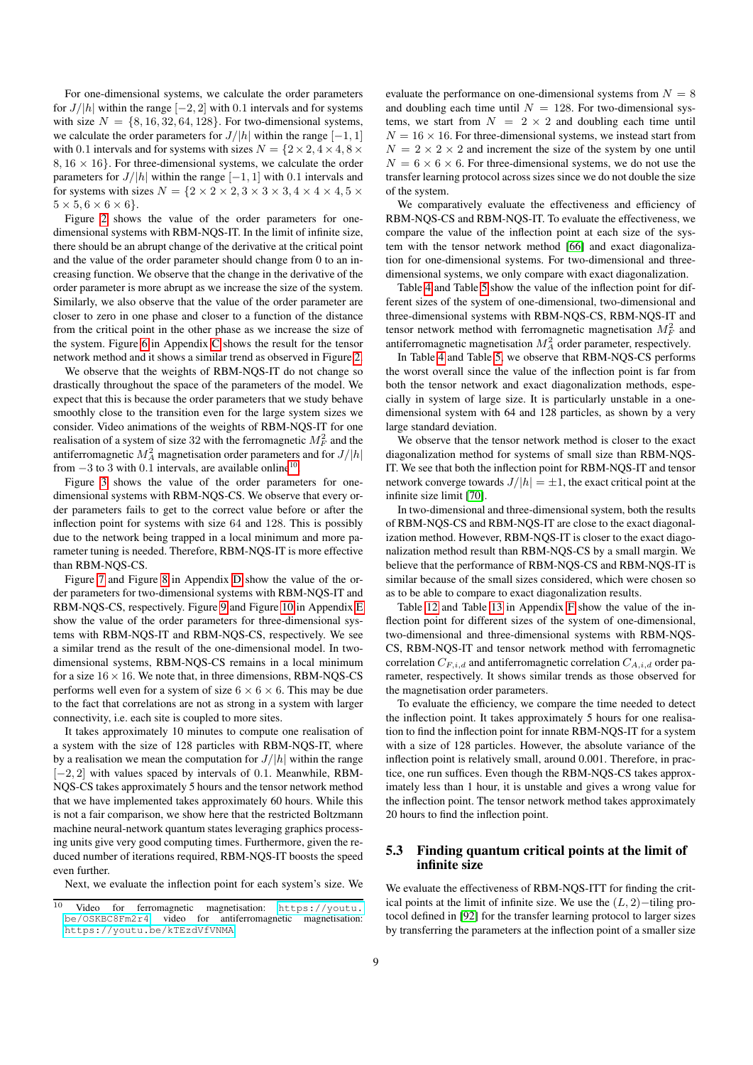For one-dimensional systems, we calculate the order parameters for  $J/|h|$  within the range  $[-2, 2]$  with 0.1 intervals and for systems with size  $N = \{8, 16, 32, 64, 128\}$ . For two-dimensional systems, we calculate the order parameters for  $J/|h|$  within the range  $[-1, 1]$ with 0.1 intervals and for systems with sizes  $N = \{2 \times 2, 4 \times 4, 8 \times$  $8, 16 \times 16$ . For three-dimensional systems, we calculate the order parameters for  $J/|h|$  within the range  $[-1, 1]$  with 0.1 intervals and for systems with sizes  $N = \{2 \times 2 \times 2, 3 \times 3 \times 3, 4 \times 4 \times 4, 5 \times 4, 6 \times 4, 6 \times 4, 6 \times 4, 6 \times 4, 6 \times 4, 6 \times 4, 6 \times 4, 6 \times 4, 6 \times 4, 6 \times 4, 6 \times 4, 6 \times 4, 6 \times 4, 6 \times 4, 6 \times 4, 6 \times 4, 6 \times 4, 6 \times 4, 6 \times 4, 6 \times 4, 6 \times 4, 6 \times 4,$  $5 \times 5, 6 \times 6 \times 6$ .

Figure [2](#page-9-0) shows the value of the order parameters for onedimensional systems with RBM-NQS-IT. In the limit of infinite size, there should be an abrupt change of the derivative at the critical point and the value of the order parameter should change from 0 to an increasing function. We observe that the change in the derivative of the order parameter is more abrupt as we increase the size of the system. Similarly, we also observe that the value of the order parameter are closer to zero in one phase and closer to a function of the distance from the critical point in the other phase as we increase the size of the system. Figure [6](#page-16-0) in Appendix [C](#page-15-3) shows the result for the tensor network method and it shows a similar trend as observed in Figure [2.](#page-9-0)

We observe that the weights of RBM-NQS-IT do not change so drastically throughout the space of the parameters of the model. We expect that this is because the order parameters that we study behave smoothly close to the transition even for the large system sizes we consider. Video animations of the weights of RBM-NQS-IT for one realisation of a system of size 32 with the ferromagnetic  $M_F^2$  and the antiferromagnetic  $M_A^2$  magnetisation order parameters and for  $J/|h|$ from  $-3$  to 3 with 0.1 intervals, are available online<sup>[10](#page-8-1)</sup>.

Figure [3](#page-9-1) shows the value of the order parameters for onedimensional systems with RBM-NQS-CS. We observe that every order parameters fails to get to the correct value before or after the inflection point for systems with size 64 and 128. This is possibly due to the network being trapped in a local minimum and more parameter tuning is needed. Therefore, RBM-NQS-IT is more effective than RBM-NQS-CS.

Figure [7](#page-16-1) and Figure [8](#page-16-2) in Appendix [D](#page-15-4) show the value of the order parameters for two-dimensional systems with RBM-NQS-IT and RBM-NQS-CS, respectively. Figure [9](#page-17-0) and Figure [10](#page-17-1) in Appendix [E](#page-16-3) show the value of the order parameters for three-dimensional systems with RBM-NQS-IT and RBM-NQS-CS, respectively. We see a similar trend as the result of the one-dimensional model. In twodimensional systems, RBM-NQS-CS remains in a local minimum for a size  $16 \times 16$ . We note that, in three dimensions, RBM-NQS-CS performs well even for a system of size  $6 \times 6 \times 6$ . This may be due to the fact that correlations are not as strong in a system with larger connectivity, i.e. each site is coupled to more sites.

It takes approximately 10 minutes to compute one realisation of a system with the size of 128 particles with RBM-NQS-IT, where by a realisation we mean the computation for  $J/|h|$  within the range [−2, 2] with values spaced by intervals of 0.1. Meanwhile, RBM-NQS-CS takes approximately 5 hours and the tensor network method that we have implemented takes approximately 60 hours. While this is not a fair comparison, we show here that the restricted Boltzmann machine neural-network quantum states leveraging graphics processing units give very good computing times. Furthermore, given the reduced number of iterations required, RBM-NQS-IT boosts the speed even further.

Next, we evaluate the inflection point for each system's size. We

evaluate the performance on one-dimensional systems from  $N = 8$ and doubling each time until  $N = 128$ . For two-dimensional systems, we start from  $N = 2 \times 2$  and doubling each time until  $N = 16 \times 16$ . For three-dimensional systems, we instead start from  $N = 2 \times 2 \times 2$  and increment the size of the system by one until  $N = 6 \times 6 \times 6$ . For three-dimensional systems, we do not use the transfer learning protocol across sizes since we do not double the size of the system.

We comparatively evaluate the effectiveness and efficiency of RBM-NQS-CS and RBM-NQS-IT. To evaluate the effectiveness, we compare the value of the inflection point at each size of the system with the tensor network method [\[66\]](#page-12-7) and exact diagonalization for one-dimensional systems. For two-dimensional and threedimensional systems, we only compare with exact diagonalization.

Table [4](#page-9-2) and Table [5](#page-9-3) show the value of the inflection point for different sizes of the system of one-dimensional, two-dimensional and three-dimensional systems with RBM-NQS-CS, RBM-NQS-IT and tensor network method with ferromagnetic magnetisation  $M_F^2$  and antiferromagnetic magnetisation  $M_A^2$  order parameter, respectively.

In Table [4](#page-9-2) and Table [5,](#page-9-3) we observe that RBM-NQS-CS performs the worst overall since the value of the inflection point is far from both the tensor network and exact diagonalization methods, especially in system of large size. It is particularly unstable in a onedimensional system with 64 and 128 particles, as shown by a very large standard deviation.

We observe that the tensor network method is closer to the exact diagonalization method for systems of small size than RBM-NQS-IT. We see that both the inflection point for RBM-NQS-IT and tensor network converge towards  $J/|h| = \pm 1$ , the exact critical point at the infinite size limit [\[70\]](#page-13-6).

In two-dimensional and three-dimensional system, both the results of RBM-NQS-CS and RBM-NQS-IT are close to the exact diagonalization method. However, RBM-NQS-IT is closer to the exact diagonalization method result than RBM-NQS-CS by a small margin. We believe that the performance of RBM-NQS-CS and RBM-NQS-IT is similar because of the small sizes considered, which were chosen so as to be able to compare to exact diagonalization results.

Table [12](#page-18-0) and Table [13](#page-18-1) in Appendix [F](#page-17-2) show the value of the inflection point for different sizes of the system of one-dimensional, two-dimensional and three-dimensional systems with RBM-NQS-CS, RBM-NQS-IT and tensor network method with ferromagnetic correlation  $C_{F,i,d}$  and antiferromagnetic correlation  $C_{A,i,d}$  order parameter, respectively. It shows similar trends as those observed for the magnetisation order parameters.

To evaluate the efficiency, we compare the time needed to detect the inflection point. It takes approximately 5 hours for one realisation to find the inflection point for innate RBM-NQS-IT for a system with a size of 128 particles. However, the absolute variance of the inflection point is relatively small, around 0.001. Therefore, in practice, one run suffices. Even though the RBM-NQS-CS takes approximately less than 1 hour, it is unstable and gives a wrong value for the inflection point. The tensor network method takes approximately 20 hours to find the inflection point.

# <span id="page-8-0"></span>5.3 Finding quantum critical points at the limit of infinite size

We evaluate the effectiveness of RBM-NQS-ITT for finding the critical points at the limit of infinite size. We use the  $(L, 2)$ −tiling protocol defined in [\[92\]](#page-13-4) for the transfer learning protocol to larger sizes by transferring the parameters at the inflection point of a smaller size

<span id="page-8-1"></span>Video for ferromagnetic magnetisation: [https://youtu.](https://youtu.be/OSKBC8Fm2r4) [be/OSKBC8Fm2r4](https://youtu.be/OSKBC8Fm2r4), video for antiferromagnetic magnetisation: <https://youtu.be/kTEzdVfVNMA>.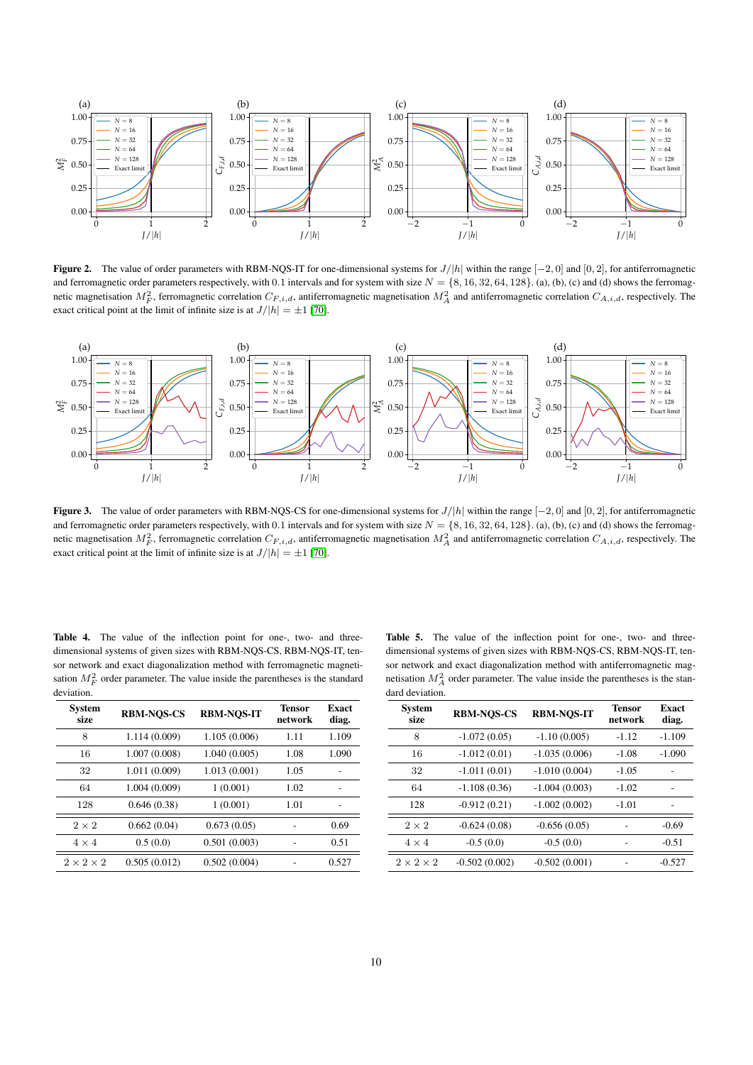

<span id="page-9-0"></span>**Figure 2.** The value of order parameters with RBM-NQS-IT for one-dimensional systems for  $J/h$  within the range  $[-2, 0]$  and  $[0, 2]$ , for antiferromagnetic and ferromagnetic order parameters respectively, with 0.1 intervals and for system with size  $N = \{8, 16, 32, 64, 128\}$ . (a), (b), (c) and (d) shows the ferromagnetic magnetisation  $M_F^2$ , ferromagnetic correlation  $C_{F,i,d}$ , antiferromagnetic magnetisation  $M_A^2$  and antiferromagnetic correlation  $C_{A,i,d}$ , respectively. The exact critical point at the limit of infinite size is at  $J/|h| = \pm 1$  [\[70\]](#page-13-6).



<span id="page-9-1"></span>Figure 3. The value of order parameters with RBM-NQS-CS for one-dimensional systems for  $J/|h|$  within the range  $[-2, 0]$  and  $[0, 2]$ , for antiferromagnetic and ferromagnetic order parameters respectively, with 0.1 intervals and for system with size  $N = \{8, 16, 32, 64, 128\}$ . (a), (b), (c) and (d) shows the ferromagnetic magnetisation  $M_F^2$ , ferromagnetic correlation  $C_{F,i,d}$ , antiferromagnetic magnetisation  $M_A^2$  and antiferromagnetic correlation  $C_{A,i,d}$ , respectively. The exact critical point at the limit of infinite size is at  $J/|h| = \pm 1$  [\[70\]](#page-13-6).

<span id="page-9-2"></span>Table 4. The value of the inflection point for one-, two- and threedimensional systems of given sizes with RBM-NQS-CS, RBM-NQS-IT, tensor network and exact diagonalization method with ferromagnetic magnetisation  $M_F^2$  order parameter. The value inside the parentheses is the standard deviation.

| System<br>size        | <b>RBM-NOS-CS</b> | <b>RBM-NOS-IT</b> | Tensor<br>network | <b>Exact</b><br>diag. |
|-----------------------|-------------------|-------------------|-------------------|-----------------------|
| 8                     | 1.114 (0.009)     | 1.105 (0.006)     | 1.11              | 1.109                 |
| 16                    | 1.007(0.008)      | 1.040(0.005)      | 1.08              | 1.090                 |
| 32                    | 1.011 (0.009)     | 1.013(0.001)      | 1.05              |                       |
| 64                    | 1.004(0.009)      | 1(0.001)          | 1.02              |                       |
| 128                   | 0.646(0.38)       | 1(0.001)          | 1.01              |                       |
| $2 \times 2$          | 0.662(0.04)       | 0.673(0.05)       |                   | 0.69                  |
| $4 \times 4$          | 0.5(0.0)          | 0.501(0.003)      |                   | 0.51                  |
| $2 \times 2 \times 2$ | 0.505(0.012)      | 0.502(0.004)      |                   | 0.527                 |

<span id="page-9-3"></span>Table 5. The value of the inflection point for one-, two- and threedimensional systems of given sizes with RBM-NQS-CS, RBM-NQS-IT, tensor network and exact diagonalization method with antiferromagnetic magnetisation  $M_A^2$  order parameter. The value inside the parentheses is the standard deviation.

| System<br>size        | <b>RBM-NOS-CS</b> | <b>RBM-NOS-IT</b> | <b>Tensor</b><br>network | <b>Exact</b><br>diag. |
|-----------------------|-------------------|-------------------|--------------------------|-----------------------|
| 8                     | $-1.072(0.05)$    | $-1.10(0.005)$    | $-1.12$                  | $-1.109$              |
| 16                    | $-1.012(0.01)$    | $-1.035(0.006)$   | $-1.08$                  | $-1.090$              |
| 32                    | $-1.011(0.01)$    | $-1.010(0.004)$   | $-1.05$                  |                       |
| 64                    | $-1.108(0.36)$    | $-1.004(0.003)$   | $-1.02$                  |                       |
| 128                   | $-0.912(0.21)$    | $-1.002(0.002)$   | $-1.01$                  | ٠                     |
| $2 \times 2$          | $-0.624(0.08)$    | $-0.656(0.05)$    |                          | $-0.69$               |
| $4 \times 4$          | $-0.5(0.0)$       | $-0.5(0.0)$       |                          | $-0.51$               |
| $2 \times 2 \times 2$ | $-0.502(0.002)$   | $-0.502(0.001)$   |                          | $-0.527$              |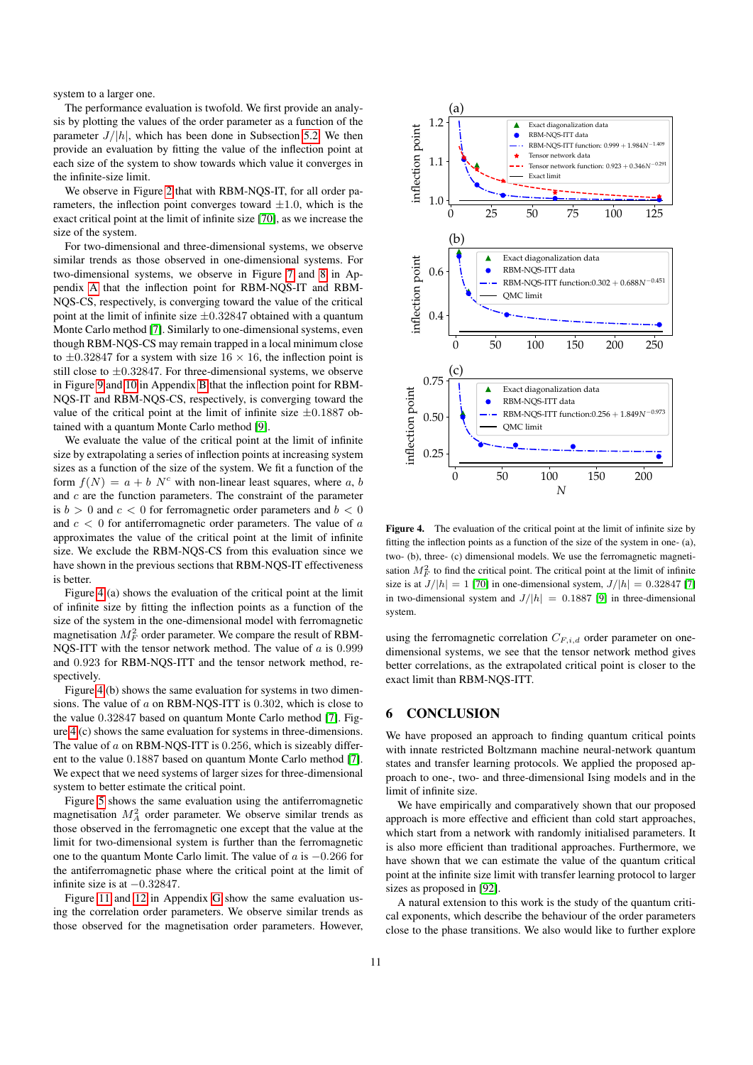system to a larger one.

The performance evaluation is twofold. We first provide an analysis by plotting the values of the order parameter as a function of the parameter  $J/|h|$ , which has been done in Subsection [5.2.](#page-6-1) We then provide an evaluation by fitting the value of the inflection point at each size of the system to show towards which value it converges in the infinite-size limit.

We observe in Figure [2](#page-9-0) that with RBM-NQS-IT, for all order parameters, the inflection point converges toward  $\pm 1.0$ , which is the exact critical point at the limit of infinite size [\[70\]](#page-13-6), as we increase the size of the system.

For two-dimensional and three-dimensional systems, we observe similar trends as those observed in one-dimensional systems. For two-dimensional systems, we observe in Figure [7](#page-16-1) and [8](#page-16-2) in Appendix [A](#page-14-3) that the inflection point for RBM-NQS-IT and RBM-NQS-CS, respectively, is converging toward the value of the critical point at the limit of infinite size  $\pm 0.32847$  obtained with a quantum Monte Carlo method [\[7\]](#page-11-2). Similarly to one-dimensional systems, even though RBM-NQS-CS may remain trapped in a local minimum close to  $\pm 0.32847$  for a system with size  $16 \times 16$ , the inflection point is still close to  $\pm 0.32847$ . For three-dimensional systems, we observe in Figure [9](#page-17-0) and [10](#page-17-1) in Appendix [B](#page-14-4) that the inflection point for RBM-NQS-IT and RBM-NQS-CS, respectively, is converging toward the value of the critical point at the limit of infinite size  $\pm 0.1887$  obtained with a quantum Monte Carlo method [\[9\]](#page-11-3).

We evaluate the value of the critical point at the limit of infinite size by extrapolating a series of inflection points at increasing system sizes as a function of the size of the system. We fit a function of the form  $f(N) = a + b N^c$  with non-linear least squares, where a, b and  $c$  are the function parameters. The constraint of the parameter is  $b > 0$  and  $c < 0$  for ferromagnetic order parameters and  $b < 0$ and  $c < 0$  for antiferromagnetic order parameters. The value of  $a$ approximates the value of the critical point at the limit of infinite size. We exclude the RBM-NQS-CS from this evaluation since we have shown in the previous sections that RBM-NQS-IT effectiveness is better.

Figure [4](#page-10-1) (a) shows the evaluation of the critical point at the limit of infinite size by fitting the inflection points as a function of the size of the system in the one-dimensional model with ferromagnetic magnetisation  $M_F^2$  order parameter. We compare the result of RBM-NQS-ITT with the tensor network method. The value of  $a$  is 0.999 and 0.923 for RBM-NQS-ITT and the tensor network method, respectively.

Figure [4](#page-10-1) (b) shows the same evaluation for systems in two dimensions. The value of a on RBM-NQS-ITT is 0.302, which is close to the value 0.32847 based on quantum Monte Carlo method [\[7\]](#page-11-2). Figure [4](#page-10-1) (c) shows the same evaluation for systems in three-dimensions. The value of  $a$  on RBM-NQS-ITT is 0.256, which is sizeably different to the value 0.1887 based on quantum Monte Carlo method [\[7\]](#page-11-2). We expect that we need systems of larger sizes for three-dimensional system to better estimate the critical point.

Figure [5](#page-11-19) shows the same evaluation using the antiferromagnetic magnetisation  $M_A^2$  order parameter. We observe similar trends as those observed in the ferromagnetic one except that the value at the limit for two-dimensional system is further than the ferromagnetic one to the quantum Monte Carlo limit. The value of a is −0.266 for the antiferromagnetic phase where the critical point at the limit of infinite size is at  $-0.32847$ .

Figure [11](#page-18-2) and [12](#page-18-3) in Appendix [G](#page-17-3) show the same evaluation using the correlation order parameters. We observe similar trends as those observed for the magnetisation order parameters. However,



<span id="page-10-1"></span>Figure 4. The evaluation of the critical point at the limit of infinite size by fitting the inflection points as a function of the size of the system in one- (a), two- (b), three- (c) dimensional models. We use the ferromagnetic magnetisation  $M_F^2$  to find the critical point. The critical point at the limit of infinite size is at  $J/|h| = 1$  [\[70\]](#page-13-6) in one-dimensional system,  $J/|h| = 0.32847$  [\[7\]](#page-11-2) in two-dimensional system and  $J/|h| = 0.1887$  [\[9\]](#page-11-3) in three-dimensional system.

using the ferromagnetic correlation  $C_{F,i,d}$  order parameter on onedimensional systems, we see that the tensor network method gives better correlations, as the extrapolated critical point is closer to the exact limit than RBM-NQS-ITT.

# <span id="page-10-0"></span>6 CONCLUSION

We have proposed an approach to finding quantum critical points with innate restricted Boltzmann machine neural-network quantum states and transfer learning protocols. We applied the proposed approach to one-, two- and three-dimensional Ising models and in the limit of infinite size.

We have empirically and comparatively shown that our proposed approach is more effective and efficient than cold start approaches, which start from a network with randomly initialised parameters. It is also more efficient than traditional approaches. Furthermore, we have shown that we can estimate the value of the quantum critical point at the infinite size limit with transfer learning protocol to larger sizes as proposed in [\[92\]](#page-13-4).

A natural extension to this work is the study of the quantum critical exponents, which describe the behaviour of the order parameters close to the phase transitions. We also would like to further explore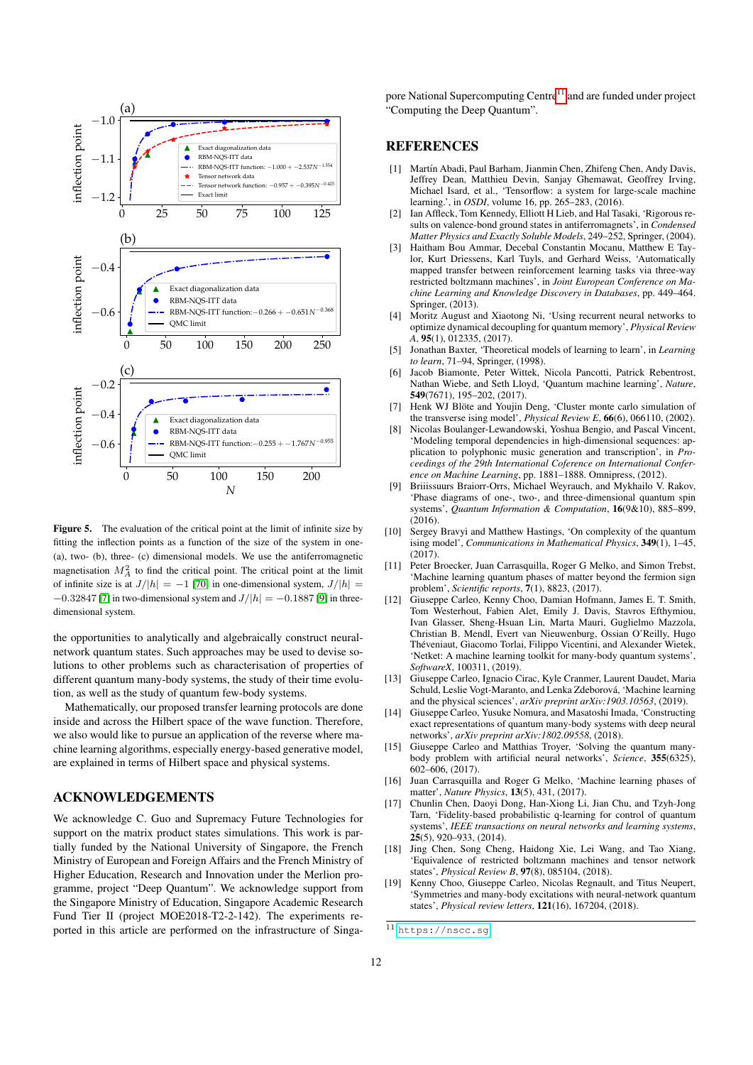

<span id="page-11-19"></span>Figure 5. The evaluation of the critical point at the limit of infinite size by fitting the inflection points as a function of the size of the system in one- (a), two- (b), three- (c) dimensional models. We use the antiferromagnetic magnetisation  $M_A^2$  to find the critical point. The critical point at the limit of infinite size is at  $J/|h| = -1$  [\[70\]](#page-13-6) in one-dimensional system,  $J/|h| =$  $-0.32847$  [\[7\]](#page-11-2) in two-dimensional system and  $J/|h| = -0.1887$  [\[9\]](#page-11-3) in threedimensional system.

the opportunities to analytically and algebraically construct neuralnetwork quantum states. Such approaches may be used to devise solutions to other problems such as characterisation of properties of different quantum many-body systems, the study of their time evolution, as well as the study of quantum few-body systems.

Mathematically, our proposed transfer learning protocols are done inside and across the Hilbert space of the wave function. Therefore, we also would like to pursue an application of the reverse where machine learning algorithms, especially energy-based generative model, are explained in terms of Hilbert space and physical systems.

# ACKNOWLEDGEMENTS

We acknowledge C. Guo and Supremacy Future Technologies for support on the matrix product states simulations. This work is partially funded by the National University of Singapore, the French Ministry of European and Foreign Affairs and the French Ministry of Higher Education, Research and Innovation under the Merlion programme, project "Deep Quantum". We acknowledge support from the Singapore Ministry of Education, Singapore Academic Research Fund Tier II (project MOE2018-T2-2-142). The experiments reported in this article are performed on the infrastructure of Singapore National Supercomputing Centre $11$  and are funded under project "Computing the Deep Quantum".

#### **REFERENCES**

- <span id="page-11-18"></span>[1] Martín Abadi, Paul Barham, Jianmin Chen, Zhifeng Chen, Andy Davis, Jeffrey Dean, Matthieu Devin, Sanjay Ghemawat, Geoffrey Irving, Michael Isard, et al., 'Tensorflow: a system for large-scale machine learning.', in *OSDI*, volume 16, pp. 265–283, (2016).
- <span id="page-11-4"></span>[2] Ian Affleck, Tom Kennedy, Elliott H Lieb, and Hal Tasaki, 'Rigorous results on valence-bond ground states in antiferromagnets', in *Condensed Matter Physics and Exactly Soluble Models*, 249–252, Springer, (2004).
- <span id="page-11-16"></span>[3] Haitham Bou Ammar, Decebal Constantin Mocanu, Matthew E Taylor, Kurt Driessens, Karl Tuyls, and Gerhard Weiss, 'Automatically mapped transfer between reinforcement learning tasks via three-way restricted boltzmann machines', in *Joint European Conference on Machine Learning and Knowledge Discovery in Databases*, pp. 449–464. Springer, (2013).
- <span id="page-11-9"></span>[4] Moritz August and Xiaotong Ni, 'Using recurrent neural networks to optimize dynamical decoupling for quantum memory', *Physical Review A*, 95(1), 012335, (2017).
- <span id="page-11-15"></span>[5] Jonathan Baxter, 'Theoretical models of learning to learn', in *Learning to learn*, 71–94, Springer, (1998).
- <span id="page-11-6"></span>[6] Jacob Biamonte, Peter Wittek, Nicola Pancotti, Patrick Rebentrost, Nathan Wiebe, and Seth Lloyd, 'Quantum machine learning', *Nature*, 549(7671), 195–202, (2017).
- <span id="page-11-2"></span>[7] Henk WJ Blöte and Youjin Deng, 'Cluster monte carlo simulation of the transverse ising model', *Physical Review E*, 66(6), 066110, (2002).
- <span id="page-11-14"></span>Nicolas Boulanger-Lewandowski, Yoshua Bengio, and Pascal Vincent, 'Modeling temporal dependencies in high-dimensional sequences: application to polyphonic music generation and transcription', in *Proceedings of the 29th International Coference on International Conference on Machine Learning*, pp. 1881–1888. Omnipress, (2012).
- <span id="page-11-3"></span>Briiissuurs Braiorr-Orrs, Michael Weyrauch, and Mykhailo V. Rakov, 'Phase diagrams of one-, two-, and three-dimensional quantum spin systems', *Quantum Information & Computation*, 16(9&10), 885–899, (2016).
- <span id="page-11-5"></span>[10] Sergey Bravyi and Matthew Hastings, 'On complexity of the quantum ising model', *Communications in Mathematical Physics*, 349(1), 1–45, (2017).
- <span id="page-11-10"></span>[11] Peter Broecker, Juan Carrasquilla, Roger G Melko, and Simon Trebst, 'Machine learning quantum phases of matter beyond the fermion sign problem', *Scientific reports*, 7(1), 8823, (2017).
- <span id="page-11-17"></span>[12] Giuseppe Carleo, Kenny Choo, Damian Hofmann, James E. T. Smith, Tom Westerhout, Fabien Alet, Emily J. Davis, Stavros Efthymiou, Ivan Glasser, Sheng-Hsuan Lin, Marta Mauri, Guglielmo Mazzola, Christian B. Mendl, Evert van Nieuwenburg, Ossian O'Reilly, Hugo Théveniaut, Giacomo Torlai, Filippo Vicentini, and Alexander Wietek, 'Netket: A machine learning toolkit for many-body quantum systems', *SoftwareX*, 100311, (2019).
- <span id="page-11-7"></span>[13] Giuseppe Carleo, Ignacio Cirac, Kyle Cranmer, Laurent Daudet, Maria Schuld, Leslie Vogt-Maranto, and Lenka Zdeborová, 'Machine learning and the physical sciences', *arXiv preprint arXiv:1903.10563*, (2019).
- <span id="page-11-13"></span>[14] Giuseppe Carleo, Yusuke Nomura, and Masatoshi Imada, 'Constructing exact representations of quantum many-body systems with deep neural networks', *arXiv preprint arXiv:1802.09558*, (2018).
- <span id="page-11-0"></span>[15] Giuseppe Carleo and Matthias Troyer, 'Solving the quantum manybody problem with artificial neural networks', *Science*, 355(6325), 602–606, (2017).
- <span id="page-11-11"></span>[16] Juan Carrasquilla and Roger G Melko, 'Machine learning phases of matter', *Nature Physics*, 13(5), 431, (2017).
- <span id="page-11-8"></span>[17] Chunlin Chen, Daoyi Dong, Han-Xiong Li, Jian Chu, and Tzyh-Jong Tarn, 'Fidelity-based probabilistic q-learning for control of quantum systems', *IEEE transactions on neural networks and learning systems*, 25(5), 920–933, (2014).
- <span id="page-11-12"></span>[18] Jing Chen, Song Cheng, Haidong Xie, Lei Wang, and Tao Xiang, 'Equivalence of restricted boltzmann machines and tensor network states', *Physical Review B*, 97(8), 085104, (2018).
- <span id="page-11-1"></span>Kenny Choo, Giuseppe Carleo, Nicolas Regnault, and Titus Neupert, 'Symmetries and many-body excitations with neural-network quantum states', *Physical review letters*, 121(16), 167204, (2018).

<span id="page-11-20"></span> $11$  <https://nscc.sg>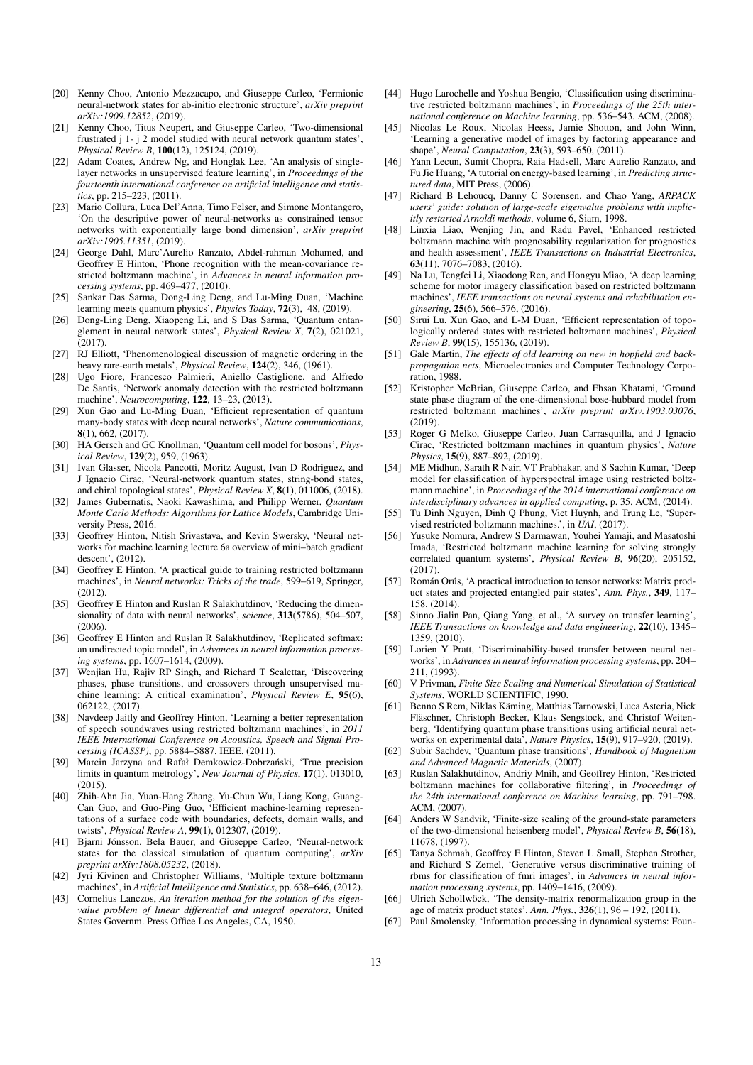- <span id="page-12-1"></span>[20] Kenny Choo, Antonio Mezzacapo, and Giuseppe Carleo, 'Fermionic neural-network states for ab-initio electronic structure', *arXiv preprint arXiv:1909.12852*, (2019).
- <span id="page-12-2"></span>[21] Kenny Choo, Titus Neupert, and Giuseppe Carleo, 'Two-dimensional frustrated j 1- j 2 model studied with neural network quantum states', *Physical Review B*, 100(12), 125124, (2019).
- <span id="page-12-30"></span>[22] Adam Coates, Andrew Ng, and Honglak Lee, 'An analysis of singlelayer networks in unsupervised feature learning', in *Proceedings of the fourteenth international conference on artificial intelligence and statistics*, pp. 215–223, (2011).
- <span id="page-12-19"></span>[23] Mario Collura, Luca Del'Anna, Timo Felser, and Simone Montangero, 'On the descriptive power of neural-networks as constrained tensor networks with exponentially large bond dimension', *arXiv preprint arXiv:1905.11351*, (2019).
- <span id="page-12-32"></span>[24] George Dahl, Marc'Aurelio Ranzato, Abdel-rahman Mohamed, and Geoffrey E Hinton, 'Phone recognition with the mean-covariance restricted boltzmann machine', in *Advances in neural information processing systems*, pp. 469–477, (2010).
- <span id="page-12-13"></span>[25] Sankar Das Sarma, Dong-Ling Deng, and Lu-Ming Duan, 'Machine learning meets quantum physics', *Physics Today*, 72(3), 48, (2019).
- <span id="page-12-17"></span>[26] Dong-Ling Deng, Xiaopeng Li, and S Das Sarma, 'Quantum entanglement in neural network states', *Physical Review X*, 7(2), 021021,  $(2017)$ .
- <span id="page-12-9"></span>[27] RJ Elliott, 'Phenomenological discussion of magnetic ordering in the heavy rare-earth metals', *Physical Review*, 124(2), 346, (1961).
- <span id="page-12-35"></span>[28] Ugo Fiore, Francesco Palmieri, Aniello Castiglione, and Alfredo De Santis, 'Network anomaly detection with the restricted boltzmann machine', *Neurocomputing*, 122, 13–23, (2013).
- <span id="page-12-20"></span>[29] Xun Gao and Lu-Ming Duan, 'Efficient representation of quantum many-body states with deep neural networks', *Nature communications*, 8(1), 662, (2017).
- <span id="page-12-10"></span>[30] HA Gersch and GC Knollman, 'Quantum cell model for bosons', *Physical Review*, 129(2), 959, (1963).
- <span id="page-12-18"></span>[31] Ivan Glasser, Nicola Pancotti, Moritz August, Ivan D Rodriguez, and J Ignacio Cirac, 'Neural-network quantum states, string-bond states, and chiral topological states', *Physical Review X*, 8(1), 011006, (2018).
- <span id="page-12-8"></span>[32] James Gubernatis, Naoki Kawashima, and Philipp Werner, *Quantum Monte Carlo Methods: Algorithms for Lattice Models*, Cambridge University Press, 2016.
- <span id="page-12-47"></span>[33] Geoffrey Hinton, Nitish Srivastava, and Kevin Swersky, 'Neural networks for machine learning lecture 6a overview of mini–batch gradient descent', (2012).
- <span id="page-12-46"></span>[34] Geoffrey E Hinton, 'A practical guide to training restricted boltzmann machines', in *Neural networks: Tricks of the trade*, 599–619, Springer, (2012).
- <span id="page-12-29"></span>[35] Geoffrey E Hinton and Ruslan R Salakhutdinov, 'Reducing the dimensionality of data with neural networks', *science*, 313(5786), 504–507, (2006).
- <span id="page-12-31"></span>[36] Geoffrey E Hinton and Ruslan R Salakhutdinov, 'Replicated softmax: an undirected topic model', in *Advances in neural information processing systems*, pp. 1607–1614, (2009).
- <span id="page-12-16"></span>[37] Wenjian Hu, Rajiv RP Singh, and Richard T Scalettar, 'Discovering phases, phase transitions, and crossovers through unsupervised machine learning: A critical examination', *Physical Review E*, 95(6), 062122, (2017).
- <span id="page-12-33"></span>[38] Navdeep Jaitly and Geoffrey Hinton, 'Learning a better representation of speech soundwaves using restricted boltzmann machines', in *2011 IEEE International Conference on Acoustics, Speech and Signal Processing (ICASSP)*, pp. 5884–5887. IEEE, (2011).
- <span id="page-12-14"></span>[39] Marcin Jarzyna and Rafał Demkowicz-Dobrzański, 'True precision limits in quantum metrology', *New Journal of Physics*, 17(1), 013010,  $(2015)$ .
- <span id="page-12-21"></span>[40] Zhih-Ahn Jia, Yuan-Hang Zhang, Yu-Chun Wu, Liang Kong, Guang-Can Guo, and Guo-Ping Guo, 'Efficient machine-learning representations of a surface code with boundaries, defects, domain walls, and twists', *Physical Review A*, 99(1), 012307, (2019).
- <span id="page-12-3"></span>[41] Biarni Jónsson, Bela Bauer, and Giuseppe Carleo, 'Neural-network states for the classical simulation of quantum computing', *arXiv preprint arXiv:1808.05232*, (2018).
- <span id="page-12-37"></span>[42] Jyri Kivinen and Christopher Williams, 'Multiple texture boltzmann machines', in *Artificial Intelligence and Statistics*, pp. 638–646, (2012).
- <span id="page-12-11"></span>[43] Cornelius Lanczos, *An iteration method for the solution of the eigenvalue problem of linear differential and integral operators*, United States Governm. Press Office Los Angeles, CA, 1950.
- <span id="page-12-25"></span>[44] Hugo Larochelle and Yoshua Bengio, 'Classification using discriminative restricted boltzmann machines', in *Proceedings of the 25th international conference on Machine learning*, pp. 536–543. ACM, (2008).
- <span id="page-12-38"></span>[45] Nicolas Le Roux, Nicolas Heess, Jamie Shotton, and John Winn, 'Learning a generative model of images by factoring appearance and shape', *Neural Computation*, 23(3), 593–650, (2011).
- <span id="page-12-45"></span>[46] Yann Lecun, Sumit Chopra, Raia Hadsell, Marc Aurelio Ranzato, and Fu Jie Huang, 'A tutorial on energy-based learning', in *Predicting structured data*, MIT Press, (2006).
- <span id="page-12-12"></span>[47] Richard B Lehoucq, Danny C Sorensen, and Chao Yang, *ARPACK users' guide: solution of large-scale eigenvalue problems with implicitly restarted Arnoldi methods*, volume 6, Siam, 1998.
- <span id="page-12-36"></span>[48] Linxia Liao, Wenjing Jin, and Radu Pavel, 'Enhanced restricted boltzmann machine with prognosability regularization for prognostics and health assessment', *IEEE Transactions on Industrial Electronics*, 63(11), 7076–7083, (2016).
- <span id="page-12-26"></span>[49] Na Lu, Tengfei Li, Xiaodong Ren, and Hongyu Miao, 'A deep learning scheme for motor imagery classification based on restricted boltzmann machines', *IEEE transactions on neural systems and rehabilitation engineering*, 25(6), 566–576, (2016).
- <span id="page-12-22"></span>[50] Sirui Lu, Xun Gao, and L-M Duan, 'Efficient representation of topologically ordered states with restricted boltzmann machines', *Physical Review B*, 99(15), 155136, (2019).
- <span id="page-12-40"></span>[51] Gale Martin, *The effects of old learning on new in hopfield and backpropagation nets*, Microelectronics and Computer Technology Corporation, 1988.
- <span id="page-12-4"></span>[52] Kristopher McBrian, Giuseppe Carleo, and Ehsan Khatami, 'Ground state phase diagram of the one-dimensional bose-hubbard model from restricted boltzmann machines', *arXiv preprint arXiv:1903.03076*, (2019).
- <span id="page-12-5"></span>[53] Roger G Melko, Giuseppe Carleo, Juan Carrasquilla, and J Ignacio Cirac, 'Restricted boltzmann machines in quantum physics', *Nature Physics*, 15(9), 887–892, (2019).
- <span id="page-12-27"></span>[54] ME Midhun, Sarath R Nair, VT Prabhakar, and S Sachin Kumar, 'Deep model for classification of hyperspectral image using restricted boltzmann machine', in *Proceedings of the 2014 international conference on interdisciplinary advances in applied computing*, p. 35. ACM, (2014).
- <span id="page-12-28"></span>[55] Tu Dinh Nguyen, Dinh Q Phung, Viet Huynh, and Trung Le, 'Supervised restricted boltzmann machines.', in *UAI*, (2017).
- <span id="page-12-23"></span>[56] Yusuke Nomura, Andrew S Darmawan, Youhei Yamaji, and Masatoshi Imada, 'Restricted boltzmann machine learning for solving strongly correlated quantum systems', *Physical Review B*, 96(20), 205152,  $(2017)$
- <span id="page-12-6"></span>[57] Román Orús, 'A practical introduction to tensor networks: Matrix product states and projected entangled pair states', *Ann. Phys.*, 349, 117– 158, (2014).
- <span id="page-12-42"></span>[58] Sinno Jialin Pan, Qiang Yang, et al., 'A survey on transfer learning', *IEEE Transactions on knowledge and data engineering*, 22(10), 1345– 1359, (2010).
- <span id="page-12-41"></span>[59] Lorien Y Pratt, 'Discriminability-based transfer between neural networks', in *Advances in neural information processing systems*, pp. 204– 211, (1993).
- <span id="page-12-43"></span>[60] V Privman, *Finite Size Scaling and Numerical Simulation of Statistical Systems*, WORLD SCIENTIFIC, 1990.
- <span id="page-12-15"></span>[61] Benno S Rem, Niklas Kaming, Matthias Tarnowski, Luca Asteria, Nick ¨ Fläschner, Christoph Becker, Klaus Sengstock, and Christof Weitenberg, 'Identifying quantum phase transitions using artificial neural networks on experimental data', *Nature Physics*, 15(9), 917–920, (2019).
- <span id="page-12-0"></span>[62] Subir Sachdev, 'Quantum phase transitions', *Handbook of Magnetism and Advanced Magnetic Materials*, (2007).
- <span id="page-12-34"></span>[63] Ruslan Salakhutdinov, Andriy Mnih, and Geoffrey Hinton, 'Restricted boltzmann machines for collaborative filtering', in *Proceedings of the 24th international conference on Machine learning*, pp. 791–798. ACM, (2007).
- <span id="page-12-44"></span>[64] Anders W Sandvik, 'Finite-size scaling of the ground-state parameters of the two-dimensional heisenberg model', *Physical Review B*, 56(18), 11678, (1997).
- <span id="page-12-39"></span>[65] Tanya Schmah, Geoffrey E Hinton, Steven L Small, Stephen Strother, and Richard S Zemel, 'Generative versus discriminative training of rbms for classification of fmri images', in *Advances in neural information processing systems*, pp. 1409–1416, (2009).
- <span id="page-12-7"></span> $[66]$  Ulrich Schollwöck, 'The density-matrix renormalization group in the age of matrix product states', *Ann. Phys.*, 326(1), 96 – 192, (2011).
- <span id="page-12-24"></span>[67] Paul Smolensky, 'Information processing in dynamical systems: Foun-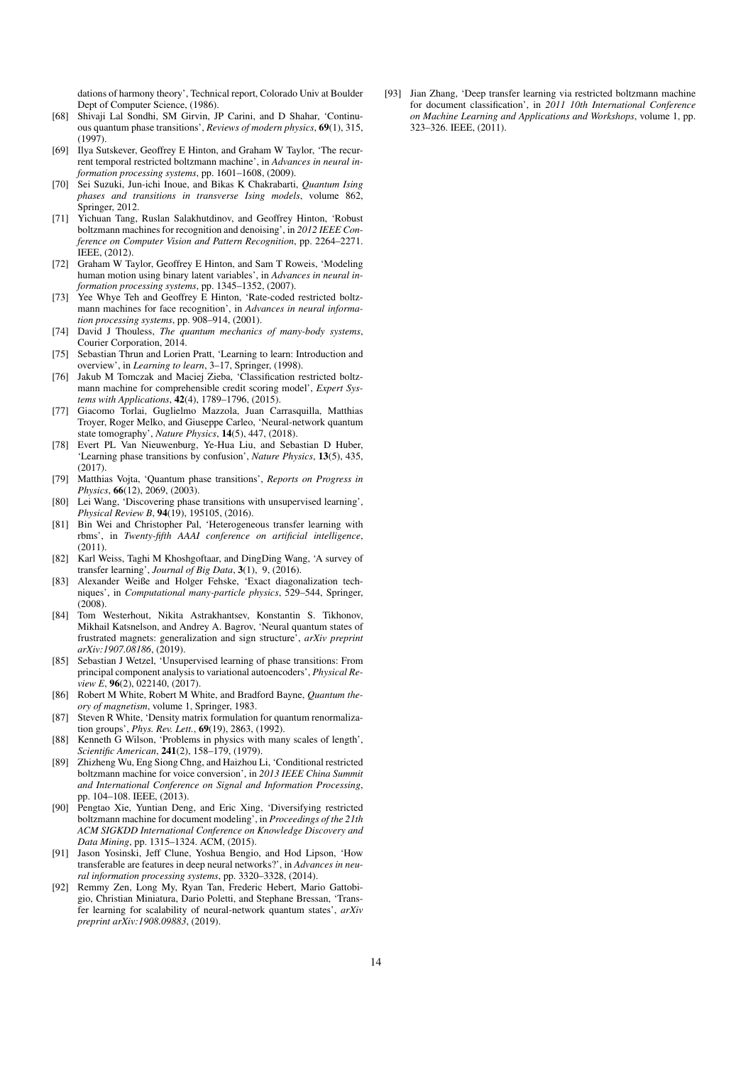dations of harmony theory', Technical report, Colorado Univ at Boulder Dept of Computer Science, (1986).

- <span id="page-13-2"></span>[68] Shivaji Lal Sondhi, SM Girvin, JP Carini, and D Shahar, 'Continuous quantum phase transitions', *Reviews of modern physics*, 69(1), 315, (1997).
- <span id="page-13-17"></span>[69] Ilya Sutskever, Geoffrey E Hinton, and Graham W Taylor, 'The recurrent temporal restricted boltzmann machine', in *Advances in neural information processing systems*, pp. 1601–1608, (2009).
- <span id="page-13-6"></span>[70] Sei Suzuki, Jun-ichi Inoue, and Bikas K Chakrabarti, *Quantum Ising phases and transitions in transverse Ising models*, volume 862, Springer, 2012.
- <span id="page-13-15"></span>[71] Yichuan Tang, Ruslan Salakhutdinov, and Geoffrey Hinton, 'Robust boltzmann machines for recognition and denoising', in *2012 IEEE Conference on Computer Vision and Pattern Recognition*, pp. 2264–2271. IEEE, (2012).
- <span id="page-13-18"></span>[72] Graham W Taylor, Geoffrey E Hinton, and Sam T Roweis, 'Modeling human motion using binary latent variables', in *Advances in neural information processing systems*, pp. 1345–1352, (2007).
- <span id="page-13-14"></span>[73] Yee Whye Teh and Geoffrey E Hinton, 'Rate-coded restricted boltzmann machines for face recognition', in *Advances in neural information processing systems*, pp. 908–914, (2001).
- <span id="page-13-1"></span>[74] David J Thouless, *The quantum mechanics of many-body systems*, Courier Corporation, 2014.
- <span id="page-13-20"></span>[75] Sebastian Thrun and Lorien Pratt, 'Learning to learn: Introduction and overview', in *Learning to learn*, 3–17, Springer, (1998).
- <span id="page-13-13"></span>[76] Jakub M Tomczak and Maciej Zieba, 'Classification restricted boltzmann machine for comprehensible credit scoring model', *Expert Systems with Applications*, 42(4), 1789–1796, (2015).
- <span id="page-13-9"></span>[77] Giacomo Torlai, Guglielmo Mazzola, Juan Carrasquilla, Matthias Troyer, Roger Melko, and Giuseppe Carleo, 'Neural-network quantum state tomography', *Nature Physics*, 14(5), 447, (2018).
- <span id="page-13-10"></span>[78] Evert PL Van Nieuwenburg, Ye-Hua Liu, and Sebastian D Huber, 'Learning phase transitions by confusion', *Nature Physics*, 13(5), 435, (2017).
- <span id="page-13-0"></span>[79] Matthias Vojta, 'Quantum phase transitions', *Reports on Progress in Physics*, 66(12), 2069, (2003).
- <span id="page-13-11"></span>[80] Lei Wang, 'Discovering phase transitions with unsupervised learning', *Physical Review B*, 94(19), 195105, (2016).
- <span id="page-13-22"></span>[81] Bin Wei and Christopher Pal, 'Heterogeneous transfer learning with rbms', in *Twenty-fifth AAAI conference on artificial intelligence*, (2011).
- <span id="page-13-21"></span>[82] Karl Weiss, Taghi M Khoshgoftaar, and DingDing Wang, 'A survey of transfer learning', *Journal of Big Data*, 3(1), 9, (2016).
- <span id="page-13-5"></span>[83] Alexander Weiße and Holger Fehske, 'Exact diagonalization techniques', in *Computational many-particle physics*, 529–544, Springer,  $(2008)$
- <span id="page-13-3"></span>[84] Tom Westerhout, Nikita Astrakhantsev, Konstantin S. Tikhonov, Mikhail Katsnelson, and Andrey A. Bagrov, 'Neural quantum states of frustrated magnets: generalization and sign structure', *arXiv preprint arXiv:1907.08186*, (2019).
- <span id="page-13-12"></span>[85] Sebastian J Wetzel, 'Unsupervised learning of phase transitions: From principal component analysis to variational autoencoders', *Physical Review E*, 96(2), 022140, (2017).
- <span id="page-13-7"></span>[86] Robert M White, Robert M White, and Bradford Bayne, *Quantum theory of magnetism*, volume 1, Springer, 1983.
- <span id="page-13-8"></span>[87] Steven R White, 'Density matrix formulation for quantum renormalization groups', *Phys. Rev. Lett.*, 69(19), 2863, (1992).
- <span id="page-13-25"></span>[88] Kenneth G Wilson, 'Problems in physics with many scales of length', *Scientific American*, 241(2), 158–179, (1979).
- <span id="page-13-19"></span>[89] Zhizheng Wu, Eng Siong Chng, and Haizhou Li, 'Conditional restricted boltzmann machine for voice conversion', in *2013 IEEE China Summit and International Conference on Signal and Information Processing*, pp. 104–108. IEEE, (2013).
- <span id="page-13-16"></span>[90] Pengtao Xie, Yuntian Deng, and Eric Xing, 'Diversifying restricted boltzmann machine for document modeling', in *Proceedings of the 21th ACM SIGKDD International Conference on Knowledge Discovery and Data Mining*, pp. 1315–1324. ACM, (2015).
- <span id="page-13-24"></span>[91] Jason Yosinski, Jeff Clune, Yoshua Bengio, and Hod Lipson, 'How transferable are features in deep neural networks?', in *Advances in neural information processing systems*, pp. 3320–3328, (2014).
- <span id="page-13-4"></span>[92] Remmy Zen, Long My, Ryan Tan, Frederic Hebert, Mario Gattobigio, Christian Miniatura, Dario Poletti, and Stephane Bressan, 'Transfer learning for scalability of neural-network quantum states', *arXiv preprint arXiv:1908.09883*, (2019).

<span id="page-13-23"></span>[93] Jian Zhang, 'Deep transfer learning via restricted boltzmann machine for document classification', in *2011 10th International Conference on Machine Learning and Applications and Workshops*, volume 1, pp. 323–326. IEEE, (2011).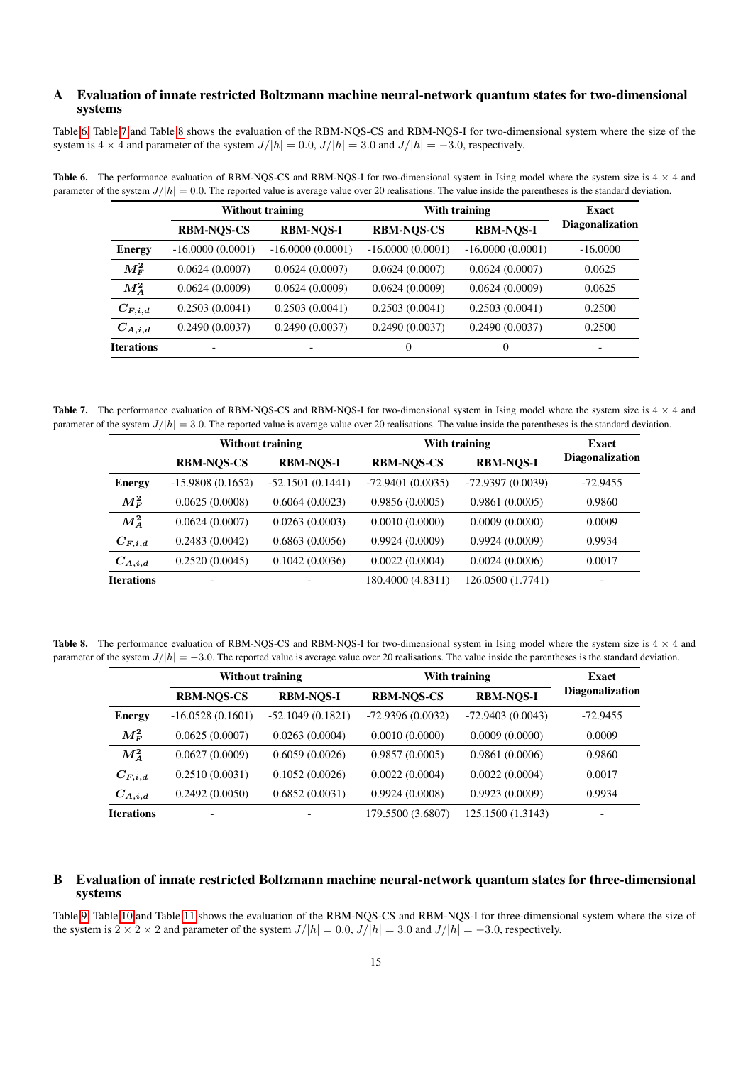# <span id="page-14-3"></span>A Evaluation of innate restricted Boltzmann machine neural-network quantum states for two-dimensional systems

Table [6,](#page-14-0) Table [7](#page-14-1) and Table [8](#page-14-2) shows the evaluation of the RBM-NQS-CS and RBM-NQS-I for two-dimensional system where the size of the system is 4  $\times$  4 and parameter of the system  $J/|h| = 0.0$ ,  $J/|h| = 3.0$  and  $J/|h| = -3.0$ , respectively.

<span id="page-14-0"></span>

|                   | <b>Without training</b>  |                    | With training      | <b>Exact</b>       |                        |
|-------------------|--------------------------|--------------------|--------------------|--------------------|------------------------|
|                   | <b>RBM-NOS-CS</b>        | <b>RBM-NOS-I</b>   | <b>RBM-NOS-CS</b>  | <b>RBM-NQS-I</b>   | <b>Diagonalization</b> |
| <b>Energy</b>     | $-16.0000(0.0001)$       | $-16.0000(0.0001)$ | $-16.0000(0.0001)$ | $-16.0000(0.0001)$ | $-16,0000$             |
| $M_F^2$           | 0.0624(0.0007)           | 0.0624(0.0007)     | 0.0624(0.0007)     | 0.0624(0.0007)     | 0.0625                 |
| $M_A^2$           | 0.0624(0.0009)           | 0.0624(0.0009)     | 0.0624(0.0009)     | 0.0624(0.0009)     | 0.0625                 |
| $C_{F,i,d}$       | 0.2503(0.0041)           | 0.2503(0.0041)     | 0.2503(0.0041)     | 0.2503(0.0041)     | 0.2500                 |
| $C_{A,i,d}$       | 0.2490(0.0037)           | 0.2490(0.0037)     | 0.2490(0.0037)     | 0.2490(0.0037)     | 0.2500                 |
| <b>Iterations</b> | $\overline{\phantom{a}}$ |                    | $\Omega$           | $\Omega$           | ۰                      |

**Table 6.** The performance evaluation of RBM-NQS-CS and RBM-NQS-I for two-dimensional system in Ising model where the system size is  $4 \times 4$  and parameter of the system  $J/|h| = 0.0$ . The reported value is average value over 20 realisations. The value inside the parentheses is the standard deviation.

**Table 7.** The performance evaluation of RBM-NQS-CS and RBM-NQS-I for two-dimensional system in Ising model where the system size is  $4 \times 4$  and parameter of the system  $J/|h| = 3.0$ . The reported value is average value over 20 realisations. The value inside the parentheses is the standard deviation.

<span id="page-14-1"></span>

|                   |                          | <b>Without training</b> | With training      |                    | Exact                    |
|-------------------|--------------------------|-------------------------|--------------------|--------------------|--------------------------|
|                   | <b>RBM-NOS-CS</b>        | <b>RBM-NOS-I</b>        | <b>RBM-NOS-CS</b>  | <b>RBM-NOS-I</b>   | <b>Diagonalization</b>   |
| <b>Energy</b>     | $-15.9808(0.1652)$       | $-52.1501(0.1441)$      | $-72.9401(0.0035)$ | $-72.9397(0.0039)$ | $-72.9455$               |
| $M^2_F$           | 0.0625(0.0008)           | 0.6064(0.0023)          | 0.9856(0.0005)     | 0.9861(0.0005)     | 0.9860                   |
| $M^2_{\rm A}$     | 0.0624(0.0007)           | 0.0263(0.0003)          | 0.0010(0.0000)     | 0.0009(0.0000)     | 0.0009                   |
| $C_{F,i,d}$       | 0.2483(0.0042)           | 0.6863(0.0056)          | 0.9924(0.0009)     | 0.9924(0.0009)     | 0.9934                   |
| $C_{A,i,d}$       | 0.2520(0.0045)           | 0.1042(0.0036)          | 0.0022(0.0004)     | 0.0024(0.0006)     | 0.0017                   |
| <b>Iterations</b> | $\overline{\phantom{0}}$ |                         | 180.4000 (4.8311)  | 126.0500 (1.7741)  | $\overline{\phantom{0}}$ |

**Table 8.** The performance evaluation of RBM-NQS-CS and RBM-NQS-I for two-dimensional system in Ising model where the system size is  $4 \times 4$  and parameter of the system  $J/|h| = -3.0$ . The reported value is average value over 20 realisations. The value inside the parentheses is the standard deviation.

<span id="page-14-2"></span>

|                   |                    | <b>Without training</b> | With training      |                    | <b>Exact</b>           |
|-------------------|--------------------|-------------------------|--------------------|--------------------|------------------------|
|                   | <b>RBM-NQS-CS</b>  | <b>RBM-NOS-I</b>        | <b>RBM-NQS-CS</b>  | <b>RBM-NOS-I</b>   | <b>Diagonalization</b> |
| <b>Energy</b>     | $-16.0528(0.1601)$ | $-52.1049(0.1821)$      | $-72.9396(0.0032)$ | $-72.9403(0.0043)$ | $-72.9455$             |
| $M^2_F$           | 0.0625(0.0007)     | 0.0263(0.0004)          | 0.0010(0.0000)     | 0.0009(0.0000)     | 0.0009                 |
| $M_A^2$           | 0.0627(0.0009)     | 0.6059(0.0026)          | 0.9857(0.0005)     | 0.9861(0.0006)     | 0.9860                 |
| $C_{F,i,d}$       | 0.2510(0.0031)     | 0.1052(0.0026)          | 0.0022(0.0004)     | 0.0022(0.0004)     | 0.0017                 |
| $C_{A,i,d}$       | 0.2492(0.0050)     | 0.6852(0.0031)          | 0.9924(0.0008)     | 0.9923(0.0009)     | 0.9934                 |
| <b>Iterations</b> |                    |                         | 179.5500 (3.6807)  | 125.1500 (1.3143)  |                        |

# <span id="page-14-4"></span>B Evaluation of innate restricted Boltzmann machine neural-network quantum states for three-dimensional systems

Table [9,](#page-15-0) Table [10](#page-15-1) and Table [11](#page-15-2) shows the evaluation of the RBM-NQS-CS and RBM-NQS-I for three-dimensional system where the size of the system is  $2 \times 2 \times 2$  and parameter of the system  $J/|h| = 0.0$ ,  $J/|h| = 3.0$  and  $J/|h| = -3.0$ , respectively.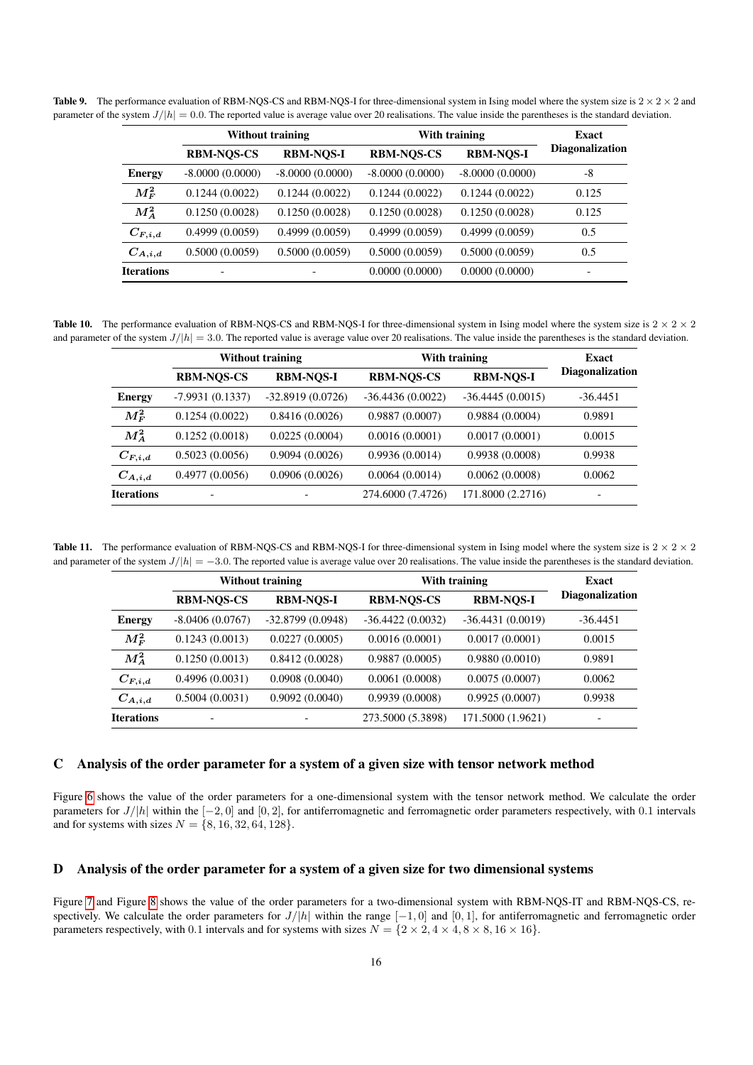**Table 9.** The performance evaluation of RBM-NQS-CS and RBM-NQS-I for three-dimensional system in Ising model where the system size is  $2 \times 2 \times 2$  and parameter of the system  $J/|h| = 0.0$ . The reported value is average value over 20 realisations. The value inside the parentheses is the standard deviation.

<span id="page-15-0"></span>

|                   | <b>Without training</b> |                   | With training     |                   |                        |  | <b>Exact</b> |
|-------------------|-------------------------|-------------------|-------------------|-------------------|------------------------|--|--------------|
|                   | <b>RBM-NOS-CS</b>       | <b>RBM-NOS-I</b>  | <b>RBM-NOS-CS</b> | <b>RBM-NOS-I</b>  | <b>Diagonalization</b> |  |              |
| <b>Energy</b>     | $-8.0000(0.0000)$       | $-8.0000(0.0000)$ | $-8.0000(0.0000)$ | $-8.0000(0.0000)$ | -8                     |  |              |
| $M^2_F$           | 0.1244(0.0022)          | 0.1244(0.0022)    | 0.1244(0.0022)    | 0.1244(0.0022)    | 0.125                  |  |              |
| $M^2_A$           | 0.1250(0.0028)          | 0.1250(0.0028)    | 0.1250(0.0028)    | 0.1250(0.0028)    | 0.125                  |  |              |
| $C_{F,i,d}$       | 0.4999(0.0059)          | 0.4999(0.0059)    | 0.4999(0.0059)    | 0.4999(0.0059)    | 0.5                    |  |              |
| $C_{A,i,d}$       | 0.5000(0.0059)          | 0.5000(0.0059)    | 0.5000(0.0059)    | 0.5000(0.0059)    | 0.5                    |  |              |
| <b>Iterations</b> |                         |                   | 0.0000(0.0000)    | 0.0000(0.0000)    |                        |  |              |

**Table 10.** The performance evaluation of RBM-NQS-CS and RBM-NQS-I for three-dimensional system in Ising model where the system size is  $2 \times 2 \times 2$ and parameter of the system  $J/|h| = 3.0$ . The reported value is average value over 20 realisations. The value inside the parentheses is the standard deviation.

<span id="page-15-1"></span>

|                   |                   | <b>Without training</b> | With training      |                    | Exact                  |  |
|-------------------|-------------------|-------------------------|--------------------|--------------------|------------------------|--|
|                   | <b>RBM-NOS-CS</b> | <b>RBM-NOS-I</b>        | <b>RBM-NQS-CS</b>  | <b>RBM-NOS-I</b>   | <b>Diagonalization</b> |  |
| <b>Energy</b>     | $-7.9931(0.1337)$ | $-32.8919(0.0726)$      | $-36.4436(0.0022)$ | $-36.4445(0.0015)$ | $-36.4451$             |  |
| $M^2_F$           | 0.1254(0.0022)    | 0.8416(0.0026)          | 0.9887(0.0007)     | 0.9884(0.0004)     | 0.9891                 |  |
| $M_A^2$           | 0.1252(0.0018)    | 0.0225(0.0004)          | 0.0016(0.0001)     | 0.0017(0.0001)     | 0.0015                 |  |
| $C_{F,i,d}$       | 0.5023(0.0056)    | 0.9094(0.0026)          | 0.9936(0.0014)     | 0.9938(0.0008)     | 0.9938                 |  |
| $C_{A,i,d}$       | 0.4977(0.0056)    | 0.0906(0.0026)          | 0.0064(0.0014)     | 0.0062(0.0008)     | 0.0062                 |  |
| <b>Iterations</b> | $\overline{a}$    |                         | 274.6000 (7.4726)  | 171.8000 (2.2716)  |                        |  |

**Table 11.** The performance evaluation of RBM-NQS-CS and RBM-NQS-I for three-dimensional system in Ising model where the system size is  $2 \times 2 \times 2$ and parameter of the system  $J/|h| = -3.0$ . The reported value is average value over 20 realisations. The value inside the parentheses is the standard deviation.

<span id="page-15-2"></span>

|                   | <b>Without training</b>  |                    | With training      | Exact              |                        |
|-------------------|--------------------------|--------------------|--------------------|--------------------|------------------------|
|                   | <b>RBM-NOS-CS</b>        | <b>RBM-NOS-I</b>   | <b>RBM-NOS-CS</b>  | <b>RBM-NOS-I</b>   | <b>Diagonalization</b> |
| <b>Energy</b>     | $-8.0406(0.0767)$        | $-32.8799(0.0948)$ | $-36.4422(0.0032)$ | $-36.4431(0.0019)$ | $-36.4451$             |
| $M_F^2$           | 0.1243(0.0013)           | 0.0227(0.0005)     | 0.0016(0.0001)     | 0.0017(0.0001)     | 0.0015                 |
| $M^2_{\rm A}$     | 0.1250(0.0013)           | 0.8412(0.0028)     | 0.9887(0.0005)     | 0.9880(0.0010)     | 0.9891                 |
| $C_{F,i,d}$       | 0.4996(0.0031)           | 0.0908(0.0040)     | 0.0061(0.0008)     | 0.0075(0.0007)     | 0.0062                 |
| $C_{A,i,d}$       | 0.5004(0.0031)           | 0.9092(0.0040)     | 0.9939(0.0008)     | 0.9925(0.0007)     | 0.9938                 |
| <b>Iterations</b> | $\overline{\phantom{0}}$ |                    | 273.5000 (5.3898)  | 171.5000 (1.9621)  |                        |

# <span id="page-15-3"></span>C Analysis of the order parameter for a system of a given size with tensor network method

Figure [6](#page-16-0) shows the value of the order parameters for a one-dimensional system with the tensor network method. We calculate the order parameters for  $J/|h|$  within the  $[-2, 0]$  and  $[0, 2]$ , for antiferromagnetic and ferromagnetic order parameters respectively, with 0.1 intervals and for systems with sizes  $N = \{8, 16, 32, 64, 128\}.$ 

# <span id="page-15-4"></span>D Analysis of the order parameter for a system of a given size for two dimensional systems

Figure [7](#page-16-1) and Figure [8](#page-16-2) shows the value of the order parameters for a two-dimensional system with RBM-NQS-IT and RBM-NQS-CS, respectively. We calculate the order parameters for  $J/|h|$  within the range  $[-1, 0]$  and  $[0, 1]$ , for antiferromagnetic and ferromagnetic order parameters respectively, with 0.1 intervals and for systems with sizes  $N = \{2 \times 2, 4 \times 4, 8 \times 8, 16 \times 16\}$ .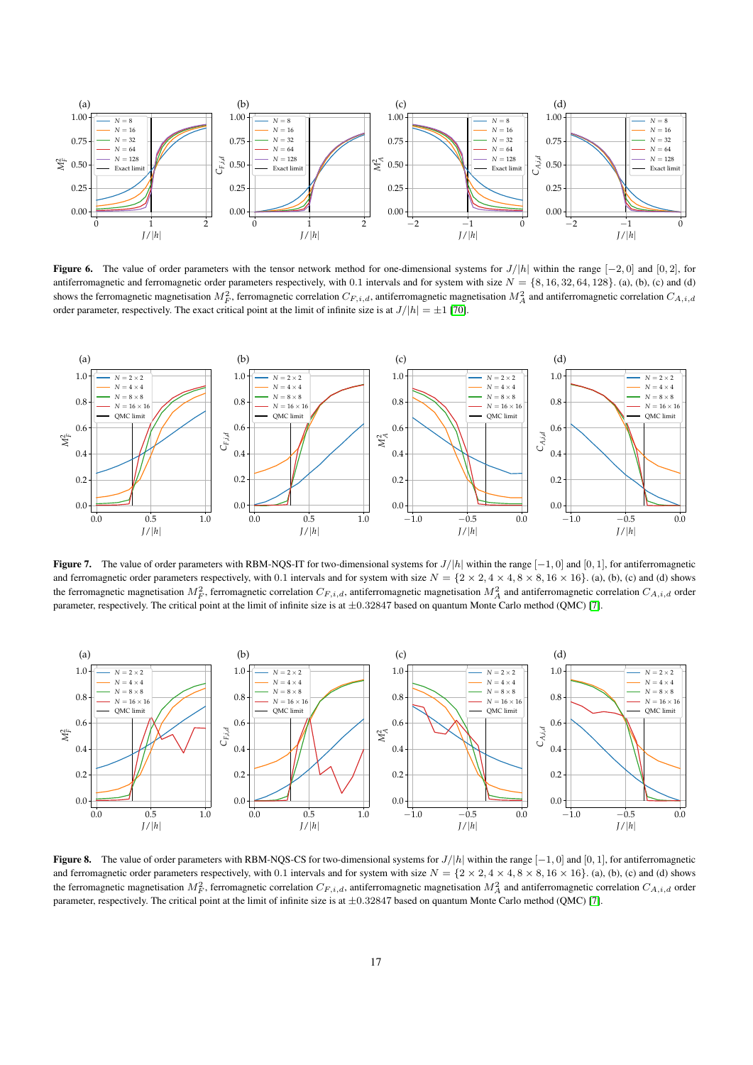

<span id="page-16-0"></span>Figure 6. The value of order parameters with the tensor network method for one-dimensional systems for  $J/|h|$  within the range  $[-2, 0]$  and  $[0, 2]$ , for antiferromagnetic and ferromagnetic order parameters respectively, with 0.1 intervals and for system with size  $N = \{8, 16, 32, 64, 128\}$ . (a), (b), (c) and (d) shows the ferromagnetic magnetisation  $M_F^2$ , ferromagnetic correlation  $C_{F,i,d}$ , antiferromagnetic magnetisation  $M_A^2$  and antiferromagnetic correlation  $C_{A,i,d}$ order parameter, respectively. The exact critical point at the limit of infinite size is at  $J/|h| = \pm 1$  [\[70\]](#page-13-6).



<span id="page-16-1"></span>**Figure 7.** The value of order parameters with RBM-NQS-IT for two-dimensional systems for  $J/h$  within the range  $[-1, 0]$  and  $[0, 1]$ , for antiferromagnetic and ferromagnetic order parameters respectively, with 0.1 intervals and for system with size  $N = \{2 \times 2, 4 \times 4, 8 \times 8, 16 \times 16\}$ . (a), (b), (c) and (d) shows the ferromagnetic magnetisation  $M_F^2$ , ferromagnetic correlation  $C_{F,i,d}$ , antiferromagnetic magnetisation  $M_A^2$  and antiferromagnetic correlation  $C_{A,i,d}$  order parameter, respectively. The critical point at the limit of infinite size is at  $\pm 0.32847$  based on quantum Monte Carlo method (QMC) [\[7\]](#page-11-2).



<span id="page-16-3"></span><span id="page-16-2"></span>**Figure 8.** The value of order parameters with RBM-NQS-CS for two-dimensional systems for  $J/|h|$  within the range  $[-1, 0]$  and  $[0, 1]$ , for antiferromagnetic and ferromagnetic order parameters respectively, with 0.1 intervals and for system with size  $N = \{2 \times 2, 4 \times 4, 8 \times 8, 16 \times 16\}$ . (a), (b), (c) and (d) shows the ferromagnetic magnetisation  $M_F^2$ , ferromagnetic correlation  $C_{F,i,d}$ , antiferromagnetic magnetisation  $M_A^2$  and antiferromagnetic correlation  $C_{A,i,d}$  order parameter, respectively. The critical point at the limit of infinite size is at ±0.32847 based on quantum Monte Carlo method (QMC) [\[7\]](#page-11-2).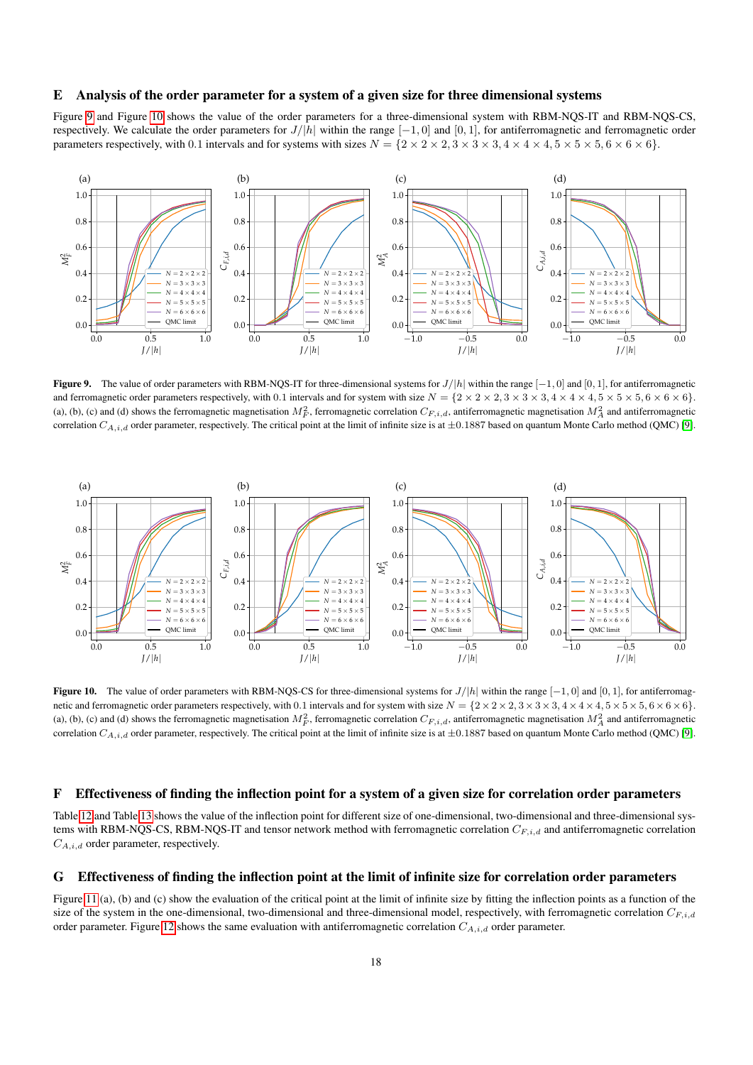# E Analysis of the order parameter for a system of a given size for three dimensional systems

Figure [9](#page-17-0) and Figure [10](#page-17-1) shows the value of the order parameters for a three-dimensional system with RBM-NQS-IT and RBM-NQS-CS, respectively. We calculate the order parameters for  $J/|h|$  within the range  $[-1, 0]$  and  $[0, 1]$ , for antiferromagnetic and ferromagnetic order parameters respectively, with 0.1 intervals and for systems with sizes  $N = \{2 \times 2 \times 2, 3 \times 3 \times 3, 4 \times 4 \times 4, 5 \times 5 \times 5, 6 \times 6 \times 6\}$ .



<span id="page-17-0"></span>Figure 9. The value of order parameters with RBM-NQS-IT for three-dimensional systems for  $J/|h|$  within the range  $[-1, 0]$  and  $[0, 1]$ , for antiferromagnetic and ferromagnetic order parameters respectively, with 0.1 intervals and for system with size  $N = \{2 \times 2 \times 2, 3 \times 3, 4 \times 4 \times 4, 5 \times 5 \times 5, 6 \times 6 \times 6\}$ . (a), (b), (c) and (d) shows the ferromagnetic magnetisation  $M_F^2$ , ferromagnetic correlation  $C_{F,i,d}$ , antiferromagnetic magnetisation  $M_A^2$  and antiferromagnetic correlation  $C_{A,i,d}$  order parameter, respectively. The critical point at the limit of infinite size is at  $\pm 0.1887$  based on quantum Monte Carlo method (QMC) [\[9\]](#page-11-3).



<span id="page-17-1"></span>**Figure 10.** The value of order parameters with RBM-NQS-CS for three-dimensional systems for  $J/|h|$  within the range  $[-1, 0]$  and  $[0, 1]$ , for antiferromagnetic and ferromagnetic order parameters respectively, with 0.1 intervals and for system with size  $N = \{2 \times 2 \times 2, 3 \times 3, 4 \times 4 \times 4, 5 \times 5 \times 5, 6 \times 6 \times 6\}$ . (a), (b), (c) and (d) shows the ferromagnetic magnetisation  $M_F^2$ , ferromagnetic correlation  $C_{F,i,d}$ , antiferromagnetic magnetisation  $M_A^2$  and antiferromagnetic correlation  $C_{A,i,d}$  order parameter, respectively. The critical point at the limit of infinite size is at  $\pm 0.1887$  based on quantum Monte Carlo method (QMC) [\[9\]](#page-11-3).

# <span id="page-17-2"></span>F Effectiveness of finding the inflection point for a system of a given size for correlation order parameters

Table [12](#page-18-0) and Table [13](#page-18-1) shows the value of the inflection point for different size of one-dimensional, two-dimensional and three-dimensional systems with RBM-NQS-CS, RBM-NQS-IT and tensor network method with ferromagnetic correlation  $C_{F,i,d}$  and antiferromagnetic correlation  $C_{A,i,d}$  order parameter, respectively.

#### <span id="page-17-3"></span>G Effectiveness of finding the inflection point at the limit of infinite size for correlation order parameters

Figure [11](#page-18-2) (a), (b) and (c) show the evaluation of the critical point at the limit of infinite size by fitting the inflection points as a function of the size of the system in the one-dimensional, two-dimensional and three-dimensional model, respectively, with ferromagnetic correlation  $C_{F,i,d}$ order parameter. Figure [12](#page-18-3) shows the same evaluation with antiferromagnetic correlation  $C_{A,i,d}$  order parameter.